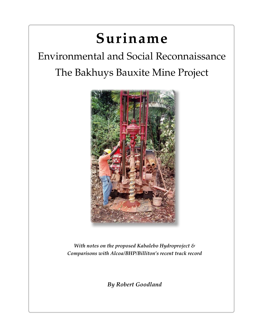# **Suriname**

# Environmental and Social Reconnaissance The Bakhuys Bauxite Mine Project



*With notes on the proposed Kabalebo Hydroproject & Comparisons with Alcoa/BHP/Billiton's recent track record*

*By Robert Goodland*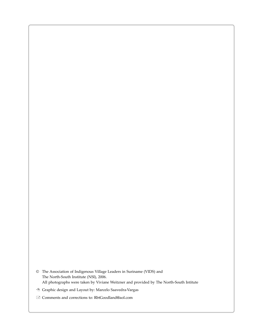- © The Association of Indigenous Village Leaders in Suriname (VIDS) and The North-South Institute (NSI), 2006. All photographs were taken by Viviane Weitzner and provided by The North-South Intitute
- Graphic design and Layout by: Marcelo Saavedra-Vargas
- Comments and corrections to: RbtGoodland@aol.com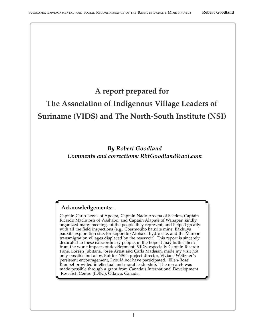## A report prepared for

## The Association of Indigenous Village Leaders of **Suriname (VIDS) and The North-South Institute (NSI)**

**By Robert Goodland** Comments and corrections: RhtGoodland@aol.com

#### Acknowledgements:

Captain Carlo Lewis of Apoera, Captain Nado Aroepa of Section, Captain Ricardo MacIntosh of Washabo, and Captain Alapate of Wanapan kindly organized many meetings of the people they represent, and helped greatly with all the field inspections (e.g., Coermotibo bauxite mine, Bakhuys bauxite exploration site, Brokopondo/Afobaka hydro site, and the Maroon transmigration villages displaced by the reservoir). This report is sincerely dedicated to these extraordinary people, in the hope it may buffer them<br>from the worst impacts of development. VIDS, especially Captain Ricardo<br>Pané, Loreen Jubitana, Josée Artist and Carla Madsian, made my visit not only possible but a joy. But for NSI's project director, Viviane Weitzner's persistent encouragement, I could not have participated. Ellen-Rose<br>Kambel provided intellectual and moral leadership. The research was made possible through a grant from Canada's International Development<br>Research Centre (IDRC), Ottawa, Canada.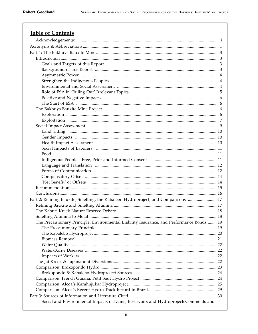## **Table of Contents**

| Part 2: Refining Bauxite, Smelting, the Kabalebo Hydroproject, and Comparisons  17        |  |  |  |
|-------------------------------------------------------------------------------------------|--|--|--|
|                                                                                           |  |  |  |
|                                                                                           |  |  |  |
|                                                                                           |  |  |  |
| The Precautionary Principle, Environmental Liability Insurance, and Performance Bonds  19 |  |  |  |
|                                                                                           |  |  |  |
|                                                                                           |  |  |  |
|                                                                                           |  |  |  |
|                                                                                           |  |  |  |
|                                                                                           |  |  |  |
|                                                                                           |  |  |  |
|                                                                                           |  |  |  |
|                                                                                           |  |  |  |
|                                                                                           |  |  |  |
|                                                                                           |  |  |  |
|                                                                                           |  |  |  |
|                                                                                           |  |  |  |
|                                                                                           |  |  |  |
| Social and Environmental Impacts of Dams, Reservoirs and HydroprojectsComments and        |  |  |  |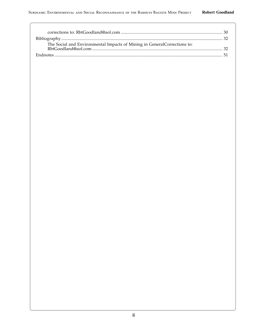| The Social and Environmental Impacts of Mining in General Corrections to: |  |
|---------------------------------------------------------------------------|--|
|                                                                           |  |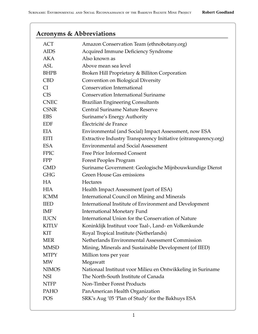## Acronyms & Abbreviations

| ACT          | Amazon Conservation Team (ethnobotany.org)                       |
|--------------|------------------------------------------------------------------|
| <b>AIDS</b>  | Acquired Immune Deficiency Syndrome                              |
| <b>AKA</b>   | Also known as                                                    |
| <b>ASL</b>   | Above mean sea level                                             |
| <b>BHPB</b>  | Broken Hill Proprietary & Billiton Corporation                   |
| <b>CBD</b>   | Convention on Biological Diversity                               |
| <b>CI</b>    | <b>Conservation International</b>                                |
| <b>CIS</b>   | <b>Conservation International Suriname</b>                       |
| <b>CNEC</b>  | <b>Brazilian Engineering Consultants</b>                         |
| <b>CSNR</b>  | <b>Central Suriname Nature Reserve</b>                           |
| <b>EBS</b>   | Suriname's Energy Authority                                      |
| <b>EDF</b>   | Électricité de France                                            |
| <b>EIA</b>   | Environmental (and Social) Impact Assessment, now ESA            |
| <b>EITI</b>  | Extractive Industry Transparency Initiative (eitransparency.org) |
| <b>ESA</b>   | <b>Environmental and Social Assessment</b>                       |
| <b>FPIC</b>  | Free Prior Informed Consent                                      |
| <b>FPP</b>   | Forest Peoples Program                                           |
| <b>GMD</b>   | Suriname Government: Geologische Mijnbouwkundige Dienst          |
| <b>GHG</b>   | <b>Green House Gas emissions</b>                                 |
| HA           | Hectares                                                         |
| <b>HIA</b>   | Health Impact Assessment (part of ESA)                           |
| <b>ICMM</b>  | <b>International Council on Mining and Minerals</b>              |
| <b>IIED</b>  | International Institute of Environment and Development           |
| <b>IMF</b>   | <b>International Monetary Fund</b>                               |
| <b>IUCN</b>  | International Union for the Conservation of Nature               |
| <b>KITLV</b> | Koninklijk Instituut voor Taal-, Land- en Volkenkunde            |
| <b>KIT</b>   | Royal Tropical Institute (Netherlands)                           |
| <b>MER</b>   | Netherlands Environmental Assessment Commission                  |
| <b>MMSD</b>  | Mining, Minerals and Sustainable Development (of IIED)           |
| <b>MTPY</b>  | Million tons per year                                            |
| MW           | Megawatt                                                         |
| <b>NIMOS</b> | Nationaal Instituut voor Milieu en Ontwikkeling in Suriname      |
| <b>NSI</b>   | The North-South Institute of Canada                              |
| <b>NTFP</b>  | Non-Timber Forest Products                                       |
| PAHO         | PanAmerican Health Organization                                  |
| POS          | SRK's Aug '05 'Plan of Study' for the Bakhuys ESA                |
|              |                                                                  |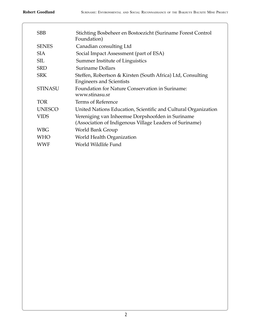| <b>SBB</b>     | Stichting Bosbeheer en Bostoezicht (Suriname Forest Control<br>Foundation)                                  |
|----------------|-------------------------------------------------------------------------------------------------------------|
| <b>SENES</b>   | Canadian consulting Ltd                                                                                     |
| <b>SIA</b>     | Social Impact Assessment (part of ESA)                                                                      |
| <b>SIL</b>     | Summer Institute of Linguistics                                                                             |
| <b>SRD</b>     | <b>Suriname Dollars</b>                                                                                     |
| <b>SRK</b>     | Steffen, Robertson & Kirsten (South Africa) Ltd, Consulting<br><b>Engineers and Scientists</b>              |
| <b>STINASU</b> | Foundation for Nature Conservation in Suriname:<br>www.stinasu.sr                                           |
| <b>TOR</b>     | Terms of Reference                                                                                          |
| <b>UNESCO</b>  | United Nations Education, Scientific and Cultural Organization                                              |
| <b>VIDS</b>    | Vereniging van Inheemse Dorpshoofden in Suriname<br>(Association of Indigenous Village Leaders of Suriname) |
| <b>WBG</b>     | World Bank Group                                                                                            |
| <b>WHO</b>     | World Health Organization                                                                                   |
| <b>WWF</b>     | World Wildlife Fund                                                                                         |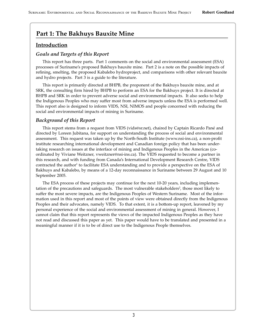## **Part 1: The Bakhuys Bauxite Mine**

#### **Introduction**

#### *Goals and Targets of this Report*

This report has three parts. Part 1 comments on the social and environmental assessment (ESA) processes of Suriname's proposed Bakhuys bauxite mine. Part 2 is a note on the possible impacts of refining, smelting, the proposed Kabalebo hydroproject, and comparisons with other relevant bauxite and hydro projects. Part 3 is a guide to the literature.

This report is primarily directed at BHPB, the proponent of the Bakhuys bauxite mine, and at SRK, the consulting firm hired by BHPB to perform an ESA for the Bakhuys project. It is directed at BHPB and SRK in order to prevent adverse social and environmental impacts. It also seeks to help the Indigenous Peoples who may suffer most from adverse impacts unless the ESA is performed well. This report also is designed to inform VIDS, NSI, NIMOS and people concerned with reducing the social and environmental impacts of mining in Suriname.

#### *Background of this Report*

This report stems from a request from VIDS (vids@sr.net), chaired by Captain Ricardo Pané and directed by Loreen Jubitana, for support on understanding the process of social and environmental assessment. This request was taken up by the North-South Institute (www.nsi-ins.ca), a non-profit institute researching international development and Canadian foreign policy that has been undertaking research on issues at the interface of mining and Indigenous Peoples in the Americas (coordinated by Viviane Weitzner, vweitzner@nsi-ins.ca). The VIDS requested to become a partner in this research, and with funding from Canada's International Development Research Centre, VIDS contracted the author<sup>1</sup> to facilitate ESA understanding and to provide a perspective on the ESA of Bakhuys and Kabalebo, by means of a 12-day reconnaissance in Suriname between 29 August and 10 September 2005.

The ESA process of these projects may continue for the next 10-20 years, including implementation of the precautions and safeguards. The most vulnerable stakeholders<sup>2</sup>, those most likely to suffer the most severe impacts, are the Indigenous Peoples of Western Suriname. Most of the information used in this report and most of the points of view were obtained directly from the Indigenous Peoples and their advocates, namely VIDS. To that extent, it is a bottom-up report, leavened by my personal experience of the social and environmental assessment of mining in general. However, I cannot claim that this report represents the views of the impacted Indigenous Peoples as they have not read and discussed this paper as yet. This paper would have to be translated and presented in a meaningful manner if it is to be of direct use to the Indigenous People themselves.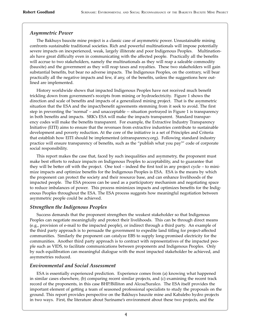#### *Asymmetric Power*

The Bakhuys bauxite mine project is a classic case of asymmetric power. Unsustainable mining confronts sustainable traditional societies. Rich and powerful multinationals will impose potentially severe impacts on inexperienced, weak, largely illiterate and poor Indigenous Peoples. Multinationals have great difficulty even in communicating with the affected people. Practically all the benefits will accrue to two stakeholders, namely the multinationals as they will reap a saleable commodity (bauxite) and the government as they will reap taxes and royalties. These two stakeholders will gain substantial benefits, but bear no adverse impacts. The Indigenous Peoples, on the contrary, will bear practically all the negative impacts and few, if any, of the benefits, unless the suggestions here outlined are implemented.

History worldwide shows that impacted Indigenous Peoples have not received much benefit trickling down from government's receipts from mining or hydroelectricity. Figure 1 shows the direction and scale of benefits and impacts of a generalized mining project. That is the asymmetric situation that the ESA and the impact/benefit agreements stemming from it seek to avoid. The first step in preventing the 'normal' – and unacceptable -- situation portrayed in Figure 1 is transparency in both benefits and impacts. SRK's ESA will make the impacts transparent. Standard transparency codes will make the benefits transparent. For example, the Extractive Industry Transparency Initiative (EITI) aims to ensure that the revenues from extractive industries contribute to sustainable development and poverty reduction. At the core of the initiative is a set of Principles and Criteria that establish how EITI should be implemented (eitransparency.org). Following standard industry practice will ensure transparency of benefits, such as the "publish what you pay<sup>3</sup>" code of corporate social responsibility.

This report makes the case that, faced by such inequalities and asymmetry, the proponent must make best efforts to reduce impacts on Indigenous Peoples to acceptability, and to guarantee that they will be better off with the project. One tool – indeed the first tool in any project cycle – to minimize impacts and optimize benefits for the Indigenous Peoples is ESA. ESA is the means by which the proponent can protect the society and their resource base, and can enhance livelihoods of the impacted people. The ESA process can be used as a participatory mechanism and negotiating space to reduce imbalances of power. This process minimizes impacts and optimizes benefits for the Indigenous Peoples throughout the ESA. The ESA process suggests how meaningful negotiation between asymmetric people could be achieved.

#### *Strengthen the Indigenous Peoples*

Success demands that the proponent strengthen the weakest stakeholder so that Indigenous Peoples can negotiate meaningfully and protect their livelihoods. This can be through direct means (e.g., provision of e-mail to the impacted people), or indirect through a third party. An example of the third party approach is to persuade the government to expedite land titling for project-affected communities. Similarly the proponent can catalyze EBS to supply long-promised electricity for the communities. Another third party approach is to contract with representatives of the impacted people such as VIDS, to facilitate communications between proponents and Indigenous Peoples. Only by such equilibration can meaningful dialogue with the most impacted stakeholder be achieved, and asymmetries reduced.

#### *Environmental and Social Assessment*

ESA is essentially experienced prediction. Experience comes from (a) knowing what happened in similar cases elsewhere, (b) comparing recent similar projects, and (c) examining the recent track record of the proponents, in this case BHP/Billiton and Alcoa/Suralco. The ESA itself provides the important element of getting a team of seasoned professional specialists to study the proposals on the ground. This report provides perspective on the Bakhuys bauxite mine and Kabalebo hydro projects in two ways. First, the literature about Suriname's environment about these two projects, and the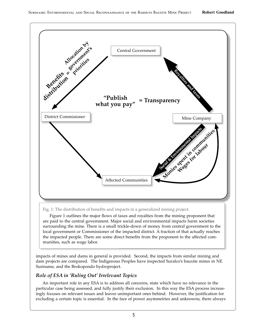

#### Fig. 1: The distribution of benefits and impacts in a generalized mining project.

Figure 1 outlines the major flows of taxes and royalties from the mining proponent that are paid to the central government. Major social and environmental impacts harm societies surrounding the mine. There is a small trickle-down of money from central government to the local government or Commissioner of the impacted district. A fraction of that actually reaches the impacted people. There are some direct benefits from the proponent to the affected communities, such as wage labor.

impacts of mines and dams in general is provided. Second, the impacts from similar mining and dam projects are compared. The Indigenous Peoples have inspected Suralco's bauxite mines in NE Suriname, and the Brokopondo hydroproject.

#### Role of ESA in 'Ruling Out' Irrelevant Topics

An important role in any ESA is to address all concerns, state which have no relevance in the particular case being assessed, and fully justify their exclusion. In this way the ESA process increasingly focuses on relevant issues and leaves unimportant ones behind. However, the justification for excluding a certain topic is essential. In the face of power asymmetries and unknowns, there always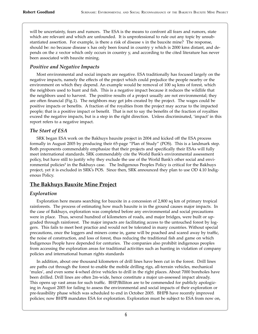will be uncertainty, fears and rumors. The ESA is the means to confront all fears and rumors, state which are relevant and which are unfounded. It is unprofessional to rule out any topic by unsubstantiated assertion. For example, is there a risk of disease x in the bauxite mine? The response, should be: no because disease x has only been found in country y which is 2000 kms distant, and depends on the z vector which only occurs in country y, and according to the cited literature has never been associated with bauxite mining.

#### *Positive and Negative Impacts*

Most environmental and social impacts are negative. ESA traditionally has focused largely on the negative impacts, namely the effects of the project which could prejudice the people nearby or the environment on which they depend. An example would be removal of 100 sq kms of forest, which the neighbors used to hunt and fish. This is a negative impact because it reduces the wildlife that the neighbors used to harvest. The positive results of a project usually are not environmental; they are often financial (Fig.1). The neighbors may get jobs created by the project. The wages could be positive impacts or benefits. A fraction of the royalties from the project may accrue to the impacted people; that is a positive impact or benefit. That is not to say the benefits of the fraction of royalties exceed the negative impacts, but is a step in the right direction. Unless discriminated, 'impact' in this report refers to a negative impact.

#### *The Start of ESA*

SRK began ESA work on the Bakhuys bauxite project in 2004 and kicked off the ESA process formally in August 2005 by producing their 65-page "Plan of Study" (POS). This is a landmark step. Both proponents commendably emphasize that their projects and specifically their ESAs will fully meet international standards. SRK commendably cite the World Bank's environmental assessment policy, but have still to justify why they exclude the use of the World Bank's other social and environmental policies<sup>4</sup> in the Bakhuys case. The Indigenous Peoples Policy is critical for the Bakhuys project, yet it is excluded in SRK's POS. Since then, SRK announced they plan to use OD 4.10 Indigenous Policy.

#### **The Bakhuys Bauxite Mine Project**

#### *Exploration*

Exploration here means searching for bauxite in a concession of 2,800 sq km of primary tropical rainforests. The process of estimating how much bauxite is in the ground causes major impacts. In the case of Bakhuys, exploration was completed before any environmental and social precautions were in place. Thus, several hundred of kilometers of roads, and major bridges, were built or upgraded through rainforest. The major impacts are facilitating access to the untouched forest by loggers. This fails to meet best practice and would not be tolerated in many countries. Without special precautions, once the loggers and miners come in, game will be poached and scared away by traffic, the noise of construction, and loss of forest, thus reducing the traditional fish and game on which Indigenous People have depended for centuries. The companies also prohibit indigenous peoples from accessing the exploration areas for traditional activities such as hunting in violation of company policies and international human rights standards

In addition, about one thousand kilometers of drill lines have been cut in the forest. Drill lines are paths cut through the forest to enable the mobile drilling rigs, all-terrain vehicles, mechanical 'mules', and even some 4-wheel drive vehicles to drill in the right places. About 7000 boreholes have been drilled. Drill lines are often 2m-wide, hence constitute a major un-assessed impact already. This opens up vast areas for such traffic. BHP/Billiton are to be commended for publicly apologizing in August 2005 for failing to assess the environmental and social impacts of their exploration or pre-feasibility phase which was scheduled to end in October 2005. BHPB have recently improved policies; now BHPB mandates ESA for exploration. Exploration must be subject to ESA from now on,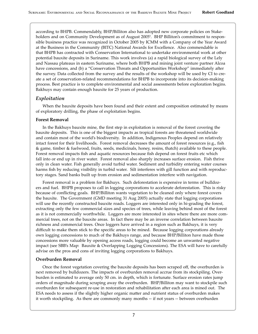according to BHPB. Commendably, BHP/Billiton also has adopted new corporate policies on Stakeholders and on Community Development as of August 2005<sup>5</sup>. BHP Billiton's commitment to responsible business practice was recognized in October 2005 by ICMM with a Company of the Year Award at the Business in the Community (BITC) National Awards for Excellence. Also commendable is that BHPB has contracted with Conservation International to undertake environmental work at other potential bauxite deposits in Suriname. This work involves (a) a rapid biological survey of the Lely and Nassau plateaus in eastern Suriname, where both BHPB and mining joint venture partner Alcoa have concessions, and (b) a "Conservation Threats and Opportunities Workshop" immediately after the survey. Data collected from the survey and the results of the workshop will be used by CI to create a set of conservation-related recommendations for BHPB to incorporate into its decision-making process. Best practice is to complete environmental and social assessments before exploration begins. Bakhuys may contain enough bauxite for 25 years of production.

#### *Exploitation*

When the bauxite deposits have been found and their extent and composition estimated by means of exploratory drilling, the phase of exploitation begins.

#### **Forest Removal**

In the Bakhuys bauxite mine, the first step in exploitation is removal of the forest covering the bauxite deposits. This is one of the biggest impacts as tropical forests are threatened worldwide and contain most of the world's biodiversity. In addition, Indigenous Peoples depend on relatively intact forest for their livelihoods. Forest removal decreases the amount of forest resources (e.g., fish & game, timber & fuelwood, fruits, seeds, medicinals, honey, resins, thatch) available to these people. Forest removal impacts fish and aquatic resources because fish depend on forest fruits etc which fall into or end up in river water. Forest removal also sharply increases surface erosion. Fish thrive only in clean water. Fish generally avoid turbid water. Sediment and turbidity entering water courses harms fish by reducing visibility in turbid water. Silt interferes with gill function and with reproductory stages. Sand banks built up from erosion and sedimentation interfere with navigation.

Forest removal is a problem for Bakhuys. Such deforestation is expensive in terms of bulldozers and fuel. BHPB proposes to call in logging corporations to accelerate deforestation. This is risky because of conflicting goals. BHP/Billiton wants vegetation to be cleaned only where forest covers the bauxite. The Government (GMD meeting 31 Aug 2005) actually state that logging corporations will use the recently constructed bauxite roads. Loggers are interested only in hi-grading the forest, extracting only the few commercial sizes and species of trees, while leaving behind most of the forest as it is not commercially worthwhile. Loggers are more interested in sites where there are more commercial trees, not on the bauxite areas. In fact there may be an inverse correlation between bauxite richness and commercial trees. Once loggers have arrived in a region such as Bakhuys, it is very difficult to make them stick to the specific areas to be mined. Because logging corporations already own logging concessions to much of the Bakhuys range, and because BHP/Billiton have made those concessions more valuable by opening access roads, logging could become an unwanted negative impact (see SBB's Map: Bauxite & Overlapping Logging Concessions). The ESA will have to carefully advise on the pros and cons of inviting logging corporations to Bakhuys.

#### **Overburden Removal**

Once the forest vegetation covering the bauxite deposits has been scraped off, the overburden is next removed by bulldozers. The impacts of overburden removal accrue from its stockpiling. Overburden is estimated to average only 50 cm. in depth, which is fortunate. Surface erosion rates jump orders of magnitude during scraping away the overburden. BHP/Billiton may want to stockpile such overburden for subsequent re-use in restoration and rehabilitation a�er each area is mined out. The ESA needs to assess if the slightly higher organic ma�er and nutrient status of overburden makes it worth stockpiling. As there are commonly many months -- if not years -- between overburden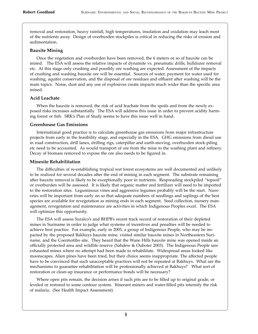removal and restoration, heavy rainfall, high temperatures, insolation and oxidation may leach most of the nutrients away. Design of overburden stockpiles is critical in reducing the risks of erosion and sedimentation.

#### **Bauxite Mining**

Once the vegetation and overburden have been removed, the 6 meters or so of bauxite can be mined. The ESA will assess the relative impacts of dynamite vs. pneumatic drills, bulldozer removal etc. At this stage only crushing and possibly ore washing are expected. Assessment of the impacts of crushing and washing bauxite ore will be essential. Sources of water, payment for water used for washing, aquifer conservation, and the disposal of ore residues and effluent after washing will be the main topics. Noise, dust and any use of explosives create impacts much wider than the specific area mined.

#### **Acid Leachate**

When the bauxite is removed, the risk of acid leachate from the spoils and from the newly exposed risks increases substantially. The ESA will address this issue in order to prevent acidity harming forest or fish. SRK's Plan of Study seems to have this issue well in hand.

#### **Greenhouse Gas Emissions**

International good practice is to calculate greenhouse gas emissions from major infrastructure projects from early in the feasibility stage, and especially in the ESA. GHG emissions from diesel use in road construction, drill lanes, drilling rigs, caterpillar and earth-moving, overburden stock-piling etc need to be accounted. As would transport of ore from the mine to the washing plant and refinery. Decay of biomass removed to expose the ore also needs to be figured in.

#### **Minesite Rehabilitation**

The difficulties of re-establishing tropical wet forest ecosystems are well documented and unlikely to be realized for several decades a�er the end of mining in each segment. The substrate remaining a�er bauxite removal is likely to be exceptionally poor in nutrients. Respreading stockpiled "topsoil" or overburden will be assessed. It is likely that organic ma�er and fertilizer will need to be imported to the restoration sites. Leguminous vines and aggressive legumes probably will be the start. Nurseries will be important from early on so that adequate numbers of seedlings and saplings of the best species are available for revegetation as mining ends in each segment. Seed collection, nursery management, revegetation and maintenance are activities in which Indigenous Peoples excel. The ESA will optimize this opportunity.

The ESA will assess Suralco's and BHPB's recent track record of restoration of their depleted mines in Suriname in order to judge what systems of incentives and penalties will be needed to achieve best practice. For example, early in 2005, a group of Indigenous People, who may be impacted by the proposed Bakhuys bauxite mine, visited similar bauxite mines in Northeastern Suriname, and the Coermotibo site. They heard that the Wane Hills bauxite mine was opened inside an officially protected area and wildlife reserve (Sahdew & Ouboter 2003). The Indigenous People saw exhausted mines where no attempt had been made to rehabilitate. Widespread areas looked like moonscapes. Alien pines have been tried, but their choice seems inappropriate. The affected people have to be convinced that such unacceptable practices will not be repeated at Bakhuys. What are the mechanisms to guarantee rehabilitation will be professionally achieved at Bakhuys? What sort of restoration or clean-up insurance or performance bonds will be necessary?

Where open pits remain, the decision arises if such pits are to be filled up to original grade, or leveled or restored to some contour system. Itinerant miners and water-filled pits intensify the risk of malaria. (See Health Impact Assessment)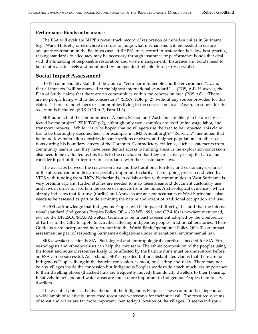#### **Performance Bonds or Insurance**

The ESA will evaluate BHPB's recent track record of restoration of mined-out sites in Suriname (e.g., Wane Hills etc) or elsewhere in order to judge what mechanisms will be needed to ensure adequate restoration in the Bakhuys case. If BHPB's track record in restoration is below best practice, raising standards to adequacy may be necessary through insurance or performance bonds that deal with the financing of responsible restoration and waste management. Insurance and bonds need to be set at realistic levels and monitored by independent reliable third-party specialists.

#### **Social Impact Assessment**

BHPB commendably state that they aim at "zero harm to people and the environment"….and that all impacts "will be assessed to the highest international standard"…. (POS, p.4). However, the Plan of Study claims that there are no communities within the concession area (POS p.8). "There are no people living within the concessions" (SRK's TOR, p. 2), without any source provided for this claim. "There are no villages or communities living in the concession area." Again, no source for this assertion is included. (SRK TOR p. 7, Para 11.3)

SRK admits that the communities of Apoera, Section and Washabo "are likely to be directly affected by the project" (SRK TOR p.2), although only two examples are used (mine wage labor, and transport impacts). While it is to be hoped that no villagers use the area to be impacted, this claim has to be thoroughly documented. For example, in 1843 Schomburgk's<sup>6</sup> "Reisen...." mentioned that he found low population densities in some sections of rivers, and higher populations in other sections during his boundary survey of the Corantijn. Contradictory evidence, such as statements from community leaders that they have been denied access to hunting areas in the exploration concession also need to be evaluated as this leads to the conclusion that they are actively using that area and consider it part of their territory in accordance with their customary laws.

The overlaps between the concession area and the traditional territory and customary use areas of the affected communities are especially important to clarify. The mapping project conducted by VIDS with funding from IUCN Netherlands, in collaboration with communities in West Suriname is very preliminary, and further studies are needed to map these areas and document customary use and laws in order to ascertain the scope of impacts from the mine. Archaeological evidence – which already indicates that Karinya (Caribs) and Arawaks are ancient occupants of West Suriname – also needs to be assessed as part of determining the nature and extent of traditional occupation and use.

As SRK acknowledge that Indigenous Peoples will be impacted directly, it is odd that the international standard (Indigenous Peoples Policy OP 4. /20 WB 1991, and OP 4.10) is nowhere mentioned, nor are the UNESCO/MAB AkweKon Guidelines on impact assessment adopted by the Conference of Parties to the CBD to apply to activities affecting indigenous peoples' traditional territories. These Guidelines are incorporated by reference into the World Bank Operational Policy OP 4.01 on impact assessment as part of respecting Suriname's obligations under international environmental law.

SRK's weakest section is SIA. Sociological and anthropological expertise is needed for SIA. Ethnozoologists and ethnobotanists can help the core team. The ethnic composition of the peoples using the forest and aquatic resources likely to be affected by the bauxite mine must be understood before an ESA can be successful. As it stands, SRK's repeated but unsubstantiated claims that there are no Indigenous Peoples living in the bauxite concession, is moot, misleading and risky. There may not be any villages inside the concession but Indigenous Peoples worldwide attach much less importance to their dwelling places (thatched huts are frequently moved) than do city dwellers to their housing. Relatively intact land and water areas are much more important to Indigenous Peoples than to city dwellers.

The essential point is the livelihoods of the Indigenous Peoples. These communities depend on a wide ambit of relatively untouched forest and waterways for their survival. The resource systems of forest and water are far more important than today's location of the villages. It seems indisput-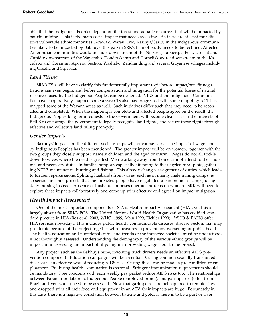able that the Indigenous Peoples depend on the forest and aquatic resources that will be impacted by bauxite mining. This is the main social impact that needs assessing. As there are at least four distinct vulnerable ethnic minorities (Arawak, Warau, Trio, Karinya/Carib) in the indigenous communities likely to be impacted by Bakhuys, this gap in SRK's Plan of Study needs to be rectified. Affected Amerindian communities would include: downstream of the Nickerie, Tapoeripa, Post, Utrecht and Cupido; downstream of the Wayambo, Donderskamp and Corneliskondre; downstream of the Kabalebo and Corantijn, Apoera, Section, Washabo, Zandlanding and several Guyanese villages including Orealla and Siperuta.

#### *Land Titling*

SRK's ESA will have to clarify this fundamentally important topic before impact/benefit negotiations can even begin, and before compensation and mitigation for the potential losses of natural resources used by the Indigenous Peoples can be designed. VIDS and the Indigenous Communities have cooperatively mapped some areas; CIS also has progressed with some mapping; ACT has mapped some of the Wayana areas as well. Such initiatives differ such that they need to be reconciled and completed. When the mapping is complete and affected people agree on the result, the Indigenous Peoples long term requests to the Government will become clear. It is in the interests of BHPB to encourage the government to legally recognize land rights, and secure those rights through effective and collective land titling promptly.

#### *Gender Impacts*

Bakhuys' impacts on the different social groups will, of course, vary. The impact of wage labor by Indigenous Peoples has been mentioned. The greater impact will be on women, together with the two groups they closely support, namely children and the aged or infirm. Wages do not all trickle down to wives where the need is greatest. Men working away from home cannot attend to their normal and necessary duties in familial support, especially attending to their agricultural plots, gathering NTFP, maintenance, hunting and fishing. This already changes assignment of duties, which leads to further repercussions. Splitting husbands from wives, such as in mainly male mining camps, is so serious in some projects that the impacted people have negotiated a ban on men's camps, using daily bussing instead. Absence of husbands imposes onerous burdens on women. SRK will need to explore these impacts collaboratively and come up with effective and agreed on impact mitigation.

#### *Health Impact Assessment*

One of the most important components of SIA is Health Impact Assessment (HIA), yet this is largely absent from SRK's POS. The United Nations World Health Organization has codified standard practice in HIA (Bos et al. 2003, WHO, 1999, Jobin 1999, Eichler 1999). WHO & PAHO offer HIA services nowadays. This includes public health, communicable diseases, disease vectors that may proliferate because of the project together with measures to prevent any worsening of public health. The health, education and nutritional status and trends of the impacted societies must be understood, if not thoroughly assessed. Understanding the demography of the various ethnic groups will be important in assessing the impact of fit young men providing wage labor to the project.

Any project, such as the Bakhuys mine, involving truck drivers needs an effective AIDS prevention component. Education campaigns will be essential. Curing common sexually transmi�ed diseases is an effective way of reducing AIDS risk. Curing those can be made a pre-condition of employment. Pre-hiring health examination is essential. Stringent immunization requirements should be mandatory. Free condoms with each weekly pay packet reduce AIDS risks too. The relationships between Paramaribo laborers, Indigenous People (employed or not), and garimpeiros (often from Brazil and Venezuela) need to be assessed. Now that garimpeiros are helicoptered to remote sites and dropped with all their food and equipment in an ATV, their impacts are huge. Fortunately in this case, there is a negative correlation between bauxite and gold. If there is to be a port or river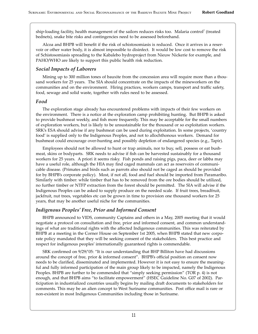ship-loading facility, health management of the sailors reduces risks too. Malaria control<sup>7</sup> (treated bednets), snake bite risks and contingencies need to be assessed beforehand.

Alcoa and BHPB will benefit if the risk of schistosomiasis is reduced. Once it arrives in a reservoir or other water body, it is almost impossible to disinfect. It would be low cost to remove the risk of Schistosomiasis spreading to the Kabalebo hydroproject from Nieuw Nickerie for example, and PAHO/WHO are likely to support this public health risk reduction.

#### *Social Impacts of Laborers*

Mining up to 300 million tones of bauxite from the concession area will require more than a thousand workers for 25 years. The SIA should concentrate on the impacts of the mineworkers on the communities and on the environment. Hiring practices, workers camps, transport and traffic safety, food, sewage and solid waste, together with rules need to be assessed.

#### *Food*

The exploration stage already has encountered problems with impacts of their few workers on the environment. There is a notice at the exploration camp prohibiting hunting. But BHPB is asked to provide bushmeat weekly, and fish more frequently. This may be acceptable for the small numbers of exploration workers, but is likely to be unsustainable for the thousand or so exploitation workers. SRK's ESA should advise if any bushmeat can be used during exploitation. In some projects, 'country food' is supplied only to the Indigenous Peoples, and not to allochthonous workers. Demand for bushmeat could encourage over-hunting and possibly depletion of endangered species (e.g., Tapir).

Employees should not be allowed to hunt or trap animals, nor to buy, sell, possess or eat bushmeat, skins or bodyparts. SRK needs to advise if fish can be harvested sustainably for a thousand workers for 25 years. A priori it seems risky. Fish ponds and raising pigs, paca, deer or labba may have a useful role, although the HIA may find caged mammals can act as reservoirs of communicable disease. (Primates and birds such as parrots also should not be caged as should be provided for by BHPB's corporate policy). Most, if not all, food and fuel should be imported from Paramaribo. Similarly with timber: while timber that has to be removed from the ore bodies should be utilized, no further timber or NTFP extraction from the forest should be permi�ed. The SIA will advise if the Indigenous Peoples can be asked to supply produce on the needed scale. If fruit trees, breadfruit, jackfruit, nut trees, vegetables etc can be grown in time to provision one thousand workers for 25 years, that may be another useful niche for the communities.

#### *Indigenous Peoples' Free, Prior and Informed Consent*

BHPB announced to VIDS, community Captains and others in a May, 2005 meeting that it would negotiate a protocol on consultation and free, prior and informed consent, and common understandings of what are traditional rights with the affected Indigenous communities. This was reiterated by BHPB at a meeting in the Corner House on September 1st 2005, when BHPB stated that new corporate policy mandated that they will be seeking consent of the stakeholders. This best practice and respect for indigenous peoples' internationally guaranteed rights is commendable.

SRK confirmed on 9/29/'05: "It is our understanding that BHP Billiton have had discussions around the concept of free, prior & informed consent". BHPB's official position on consent now needs to be clarified, disseminated and implemented. However it is not easy to ensure the meaningful and fully informed participation of the main group likely to be impacted, namely the Indigenous Peoples. BHPB are further to be commended that "simply seeking permission" (TOR p. 4) is not enough, and that BHPB aims "to facilitate empowerment" (HSEC Guideline No. G07 of 2002). Participation in industrialized countries usually begins by mailing dra� documents to stakeholders for comments. This may be an alien concept to West Suriname communities. Post office mail is rare or non-existent in most Indigenous Communities including those in Suriname.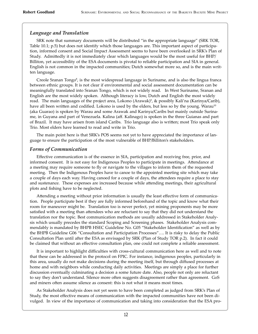#### *Language and Translation*

SRK note that summary documents will be distributed "in the appropriate language" (SRK TOR, Table 10.1; p.5) but does not identify which those languages are. This important aspect of participation, informed consent and Social Impact Assessment seems to have been overlooked in SRK's Plan of Study. Admi�edly it is not immediately clear which languages would be the most useful for BHP/ Billiton, yet accessibility of the ESA documents is pivotal to reliable participation and SIA in general. English is not common in the impacted communities; Dutch somewhat more so, and is the main written language.

Creole Sranan Tongo<sup>8</sup>, is the most widespread language in Suriname, and is also the lingua franca between ethnic groups. It is not clear if environmental and social assessment documentation can be meaningfully translated into Sranan Tongo, which is not widely read. In West Suriname, Sranan and English are the most widely spoken. Although literacy is low, Dutch and English the most widely read. The main languages of the project area, Lokono (Arawak)<sup>9</sup>, & possibly Kali'na (Karinya/Carib), have all been written and codified. Lokono is used by the elders, but less so by the young. Warau<sup>10</sup> (aka Guarao) is spoken by Warau and some Arawak and Karinya/Caribs but mainly outside Suriname, in Guyana and part of Venezuela. Kalina (aff. Kalinago) is spoken in the three Guianas and part of Brazil. It may have arisen from island Caribs. Trio language also is wri�en; most Trio speak only Trio. Most elders have learned to read and write in Trio.

The main point here is that SRK's POS seems not yet to have appreciated the importance of language to ensure the participation of the most vulnerable of BHP/Billiton's stakeholders.

#### *Forms of Communication*

Effective communication is of the essence in SIA, participation and receiving free, prior, and informed consent. It is not easy for Indigenous Peoples to participate in meetings. Attendance at a meeting may require someone to fly or navigate to the villages to inform them of the requested meeting. Then the Indigenous Peoples have to canoe to the appointed meeting site which may take a couple of days each way. Having canoed for a couple of days, the attendees require a place to stay and sustenance. These expenses are increased because while attending meetings, their agricultural plots and fishing have to be neglected.

A�ending a meeting without prior information is usually the least effective form of communication. People participate best if they are fully informed beforehand of the topic and know what their room for maneuver might be. Translation too is never perfect, yet mining proponents may be more satisfied with a meeting than attendees who are reluctant to say that they did not understand the translation nor the topic. Best communication methods are usually addressed in Stakeholder Analysis which usually precedes the standard Scoping and Screening phases. Stakeholder Analysis commendably is mandated by BHPB HSEC Guideline No. G05 "Stakeholder Identification" as well as by the BHPB Guideline G06 "Consultation and Participation Processes"…. It is risky to delay the Public Consultation Plan until a�er the ESA as envisaged by SRK (Plan of Study TOR p.2). In fact it could be claimed that without an effective consultation plan, one could not complete a reliable assessment.

It is important to highlight difficulties with cross-cultural communication here as well and to note that these can be addressed in the protocol on FPIC. For instance, indigenous peoples, particularly in this area, usually do not make decisions during the meeting itself, but through diffused processes at home and with neighbors while conducting daily activities. Meetings are simply a place for further discussion eventually culminating a decision a some future date. Also, people not only are reluctant to say they don't understand. Silence more often suggests disagreement rather than agreement. GoS and miners often assume silence as consent: this is not what it means most times.

As Stakeholder Analysis does not yet seem to have been completed as judged from SRK's Plan of Study, the most effective means of communication with the impacted communities have not been divulged. In view of the importance of communication and taking into consideration that the ESA pro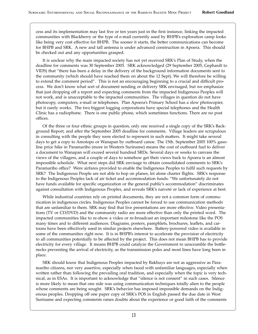cess and its implementation may last five or ten years just in the first instance, linking the impacted communities with Blackberry or the type of e-mail currently used by BHPB's exploration camp looks like being very cost effective for BHPB. The sooner it starts, the better communications can become for BHPB and SRK. A new and tall antenna is under advanced construction in Apoera. This should be checked out and any opportunities grasped.

It is unclear why the main impacted society has not yet received SRK's Plan of Study, when the deadline for comments was 30 September 2005. SRK acknowledged (29 September 2005, Gephardt to VIDS) that "there has been a delay in the delivery of the background information documents sent to the community (which should have reached them on about the 12 Sept). We will therefore be willing to extend the comment period". This is not an encouraging beginning to a crucial and difficult process. We don't know what sort of document sending or delivery SRK envisaged, but we emphasize that just dropping off a report and expecting comments from the impacted Indigenous Peoples will not work, and is unacceptable to the impacted communities. The villages in question do not have photocopy, computers, e-mail or telephones. Plan Apoera's Primary School has a slow photocopier, but it rarely works. The two biggest logging corporations have special telephones and the Health Clinic has a radiophone. There is one public phone, which sometimes functions. There are no post offices.

Of the three or four ethnic groups in question, only one received a single copy of the SRK's Background Report, and after the September 2005 deadline for comments. Village leaders are scrupulous in consulting with the people they were elected to represent in such ma�ers. It might take several days to get a copy to Amotopo or Wanapan by outboard canoe. The 15th. September 2005 100% gasoline price hike in Paramaribo (more in Western Suriname) means the cost of outboard fuel to deliver a document to Wanapan will exceed several hundred SRDs. Several days or weeks to canvass the views of the villagers, and a couple of days to somehow get their views back to Apoera is an almost impossible schedule. What next steps did SRK envisage to obtain consolidated comments to SRK's Paramaribo office? Were airfares provided to enable the Indigenous Peoples to fulfil such requests by SRK? The Indigenous People are not able to hop on planes, let alone charter flights. SRK's response to the Indigenous Peoples lack of air ticket and accommodation funds: "We unfortunately do not have funds available for specific organization or the general public's accommodation" discriminates against consultation with Indigenous Peoples, and reveals SRK's naiveté or lack of experience at best.

While industrial countries rely on printed documents, they are not a common form of communication in indigenous circles. Indigenous Peoples cannot be forced to use communication methods that are unfamiliar to them. SRK may find that live presentations are more effective. Video presentations (TV or CD/DVD) and the community radio are more effective than only the printed word. The impacted communities like to re-show a video or re-broadcast an important milestone like the POS many times and to different audiences. Diagrams, posters, pamphlets, brochures, leaflets, and cartoons have been effectively used in similar projects elsewhere. Battery-powered video is available in some of the communities right now. It is in BHPB's interest to accelerate the provision of electricity to all communities potentially to be affected by the project. This does not mean BHPB has to provide electricity for every village. It means BHPB could catalyze the Government to unscramble the bottlenecks preventing the arrival of electricity, as the transmission poles and most lines have long been in place.

SRK should know that Indigenous Peoples impacted by Bakhuys are not as aggressive as Paramaribo citizens, nor very assertive, especially when faced with unfamiliar languages, especially when written rather than following the prevailing oral tradition, and especially when the topic is very technical, as in ESAs. It is important to acknowledge that "silence is not consent" in such cases. Silence is more likely to mean that one side was using communication techniques totally alien to the people whose comments are being sought. SRK's behavior has imposed impossible demands on the Indigenous peoples. Dropping off one paper copy of SRK's POS in English passed the due date in West Suriname and expecting comments raises doubts about the experience or good faith of the comments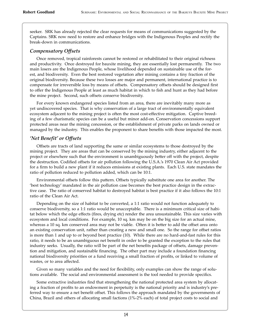seeker. SRK has already rejected the clear requests for means of communications suggested by the Captains. SRK now need to restore and enhance bridges with the Indigenous Peoples and rectify the break-down in communications.

#### *Compensatory Offsets*

Once removed, tropical rainforests cannot be restored or rehabilitated to their original richness and productivity. Once destroyed for bauxite mining, they are essentially lost permanently. The two main losers are the Indigenous People, whose livelihood depended on sustainable use of the forest, and biodiversity. Even the best restored vegetation a�er mining contains a tiny fraction of the original biodiversity. Because these two losses are major and permanent, international practice is to compensate for irreversible loss by means of offsets. Compensatory offsets should be designed first to offer the Indigenous People at least as much habitat in which to fish and hunt as they had before the mine project. Second, such offsets conserve biodiversity.

For every known endangered species listed from an area, there are inevitably many more as yet undiscovered species. That is why conservation of a large tract of environmentally equivalent ecosystem adjacent to the mining project is often the most cost-effective mitigation. Captive breeding of a few charismatic species can be a useful but minor add-on. Conservation concessions support protected areas near the mining concession, or the establishment of private parks on lands owned or managed by the industry. This enables the proponent to share benefits with those impacted the most.

#### *'Net Benefit' or Offsets*

Offsets are tracts of land supporting the same or similar ecosystems to those destroyed by the mining project. They are areas that can be conserved by the mining industry, either adjacent to the project or elsewhere such that the environment is unambiguously be�er off with the project, despite the destruction. Codified offsets for air pollution following the U.S.A.'s 1970 Clean Air Act provided for a firm to build a new plant if it reduces emissions at existing plants. Each U.S. state mandates the ratio of pollution reduced to pollution added, which can be 10:1.

Environmental offsets follow this pa�ern. Offsets typically substitute one area for another. The 'best technology' mandated in the air pollution case becomes the best practice design in the extractive case. The ratio of conserved habitat to destroyed habitat is best practice if it also follows the 10:1 ratio of the Clean Air Act.

Depending on the size of habitat to be converted, a 1:1 ratio would not function adequately to conserve biodiversity, so a 1:1 ratio would be unacceptable. There is a minimum critical size of habitat below which the edge effects (fires, drying etc) render the area unsustainable. This size varies with ecosystem and local conditions. For example, 10 sq. km may be on the big size for an actual mine, whereas a 10 sq. km conserved area may not be viable. Often it is better to add the offset area onto an existing conservation unit, rather than creating a new and small one. So the range for offset ratios is more than 1 and up to or beyond best practice (10). While there are no hard-and-fast rules for this ratio, it needs to be an unambiguous net benefit in order to be granted the exception to the rules that industry seeks. Usually, the ratio will be part of the net benefits package of offsets, damage prevention and mitigation, and sustainable financing. The other part may include a foundation financing national biodiversity priorities or a fund receiving a small fraction of profits, or linked to volume of wastes, or to area affected.

Given so many variables and the need for flexibility, only examples can show the range of solutions available. The social and environmental assessment is the tool needed to provide specifics.

Some extractive industries find that strengthening the national protected area system by allocating a fraction of profits to an endowment in perpetuity is the national priority and is industry's preferred way to ensure a net benefit offset. This follows the approach mandated by the governments of China, Brazil and others of allocating small factions (1%-2% each) of total project costs to social and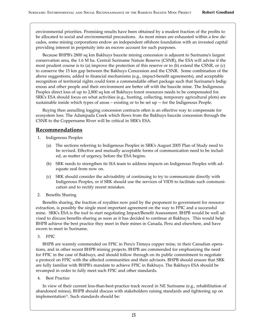environmental priorities. Promising results have been obtained by a modest fraction of the profits to be allocated to social and environmental precautions. As most mines are exhausted within a few decades, some mining corporations endow an independent offshore foundation with an invested capital providing interest in perpetuity into an escrow account for such purposes.

Because BHPB's 2800 sq km Bakhuys bauxite mining concession is adjacent to Suriname's largest conservation area, the 1.6 M ha. Central Suriname Nature Reserve (CSNR), the ESA will advise if the most prudent course is to (a) improve the protection of this reserve or to (b) extend the CSNR, or (c) to conserve the 15 km gap between the Bakhuys Concession and the CSNR. Some combination of the above suggestions, added to financial mechanisms (e.g., impact-benefit agreements), and acceptable recognition of territorial rights could form a commendable offset package such that Suriname's Indigenous and other people and their environment are better off with the bauxite mine. The Indigenous Peoples direct loss of up to 2,800 sq km of Bakhuys forest resources needs to be compensated for. SRK's ESA should focus on what activities (e.g., hunting, collecting, temporary agricultural plots) are sustainable inside which types of areas – existing or to be set up -- for the Indigenous People.

Buying then annulling logging concession contracts o�en is an effective way to compensate for ecosystem loss. The Adampada Creek which flows from the Bakhuys bauxite concession through the CSNR to the Coppername River will be critical in SRK's ESA.

#### **Recommendations**

- 1. Indigenous Peoples
	- (a) The sections referring to Indigenous Peoples in SRK's August 2005 Plan of Study need to be revised. Effective and mutually acceptable forms of communication need to be included, as matter of urgency, before the ESA begins.
	- (b) SRK needs to strengthen its SIA team to address impacts on Indigenous Peoples with adequate zeal from now on.
	- (c) SRK should consider the advisability of continuing to try to communicate directly with Indigenous Peoples, or if SRK should use the services of VIDS to facilitate such communication and to rectify recent mistakes.
- 2. Benefits Sharing

Benefits sharing, the fraction of royalties now paid by the proponent to government for resource extraction, is possibly the single most important agreement on the way to FPIC and a successful mine. SRK's ESA is the tool to start negotiating Impact/Benefit Assessment. BHPB would be well advised to discuss benefits sharing as soon as it has decided to continue at Bakhuys. This would help BHPB achieve the best practice they meet in their mines in Canada, Peru and elsewhere, and have sworn to meet in Suriname.

3. FPIC

BHPB are warmly commended on FPIC in Peru's Tintaya copper mine, in their Canadian operations, and in other recent BHPB mining projects. BHPB are commended for emphasizing the need for FPIC in the case of Bakhuys, and should follow through on its public commitment to negotiate a protocol on FPIC with the affected communities and their advisors. BHPB should ensure that SRK are fully familiar with BHPB's mandate to achieve FPIC in Bakhuys. The Bakhuys ESA should be revamped in order to fully meet such FPIC and other standards.

4. Best Practice

In view of their current less-than-best-practice track record in NE Suriname (e.g., rehabilitation of abandoned mines), BHPB should discuss with stakeholders raising standards and tightening up on implementation<sup>11</sup>. Such standards should be: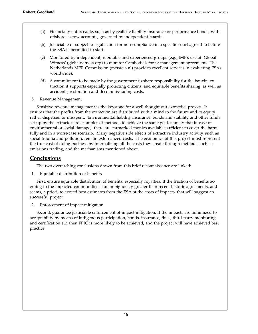- (a) Financially enforceable, such as by realistic liability insurance or performance bonds, with offshore escrow accounts, governed by independent boards.
- (b) Justiciable or subject to legal action for non-compliance in a specific court agreed to before the ESA is permitted to start.
- (c) Monitored by independent, reputable and experienced groups (e.g., IMF's use of 'Global Witness' (globalwitness.org) to monitor Cambodia's forest management agreements. The Netherlands MER Commission (mer@eia.nl) provides excellent services in evaluating ESAs worldwide).
- (d) A commitment to be made by the government to share responsibility for the bauxite extraction it supports especially protecting citizens, and equitable benefits sharing, as well as accidents, restoration and decommissioning costs.
- 5. Revenue Management

Sensitive revenue management is the keystone for a well thought-out extractive project. It ensures that the profits from the extraction are distributed with a mind to the future and to equity, rather dispersed or misspent. Environmental liability insurance, bonds and stability and other funds set up by the extractor are examples of methods to achieve the same goal, namely that in case of environmental or social damage, there are earmarked monies available sufficient to cover the harm fully and in a worst-case scenario. Many negative side effects of extractive industry activity, such as social trauma and pollution, remain externalized costs. The economics of this project must represent the true cost of doing business by internalizing all the costs they create through methods such as emissions trading, and the mechanisms mentioned above.

#### **Conclusions**

The two overarching conclusions drawn from this brief reconnaissance are linked:

1. Equitable distribution of benefits

First, ensure equitable distribution of benefits, especially royalties. If the fraction of benefits accruing to the impacted communities is unambiguously greater than recent historic agreements, and seems, a priori, to exceed best estimates from the ESA of the costs of impacts, that will suggest an successful project.

2. Enforcement of impact mitigation

Second, guarantee justiciable enforcement of impact mitigation. If the impacts are minimized to acceptability by means of indigenous participation, bonds, insurance, fines, third party monitoring and certification etc, then FPIC is more likely to be achieved, and the project will have achieved best practice.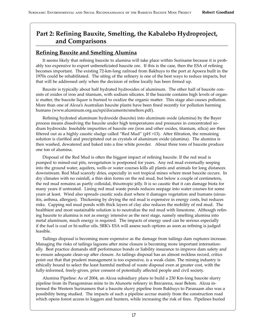## **Part 2: Refining Bauxite, Smelting, the Kabalebo Hydroproject, and Comparisons**

#### **Refining Bauxite and Smelting Alumina**

It seems likely that refining bauxite to alumina will take place within Suriname because it is probably too expensive to export unbeneficiated bauxite ore. If this is the case, then the ESA of refining becomes important. The existing 72-km-long railroad from Bakhuys to the port at Apoera built in the 1970s could be rehabilitated. The siting of the refinery is one of the best ways to reduce impacts, but that will be addressed only when the decision of refine locally has been firmed up.

Bauxite is typically about half hydrated hydroxides of aluminum. The other half of bauxite consists of oxides of iron and titanium, with sodium silicates. If the bauxite contains high levels of organic matter, the bauxite liquor is burned to oxidize the organic matter. This stage also causes pollution. More than one of Alcoa's Australian bauxite plants have been fined recently for pollution harming humans (www.aluminum.org.au/npi/documents/smelters.pdf).

Refining hydrated aluminum hydroxide (bauxite) into aluminum oxide (alumina) by the Bayer process means dissolving the bauxite under high temperatures and pressures in concentrated sodium hydroxide. Insoluble impurities of bauxite ore (iron and other oxides, titanium, silica) are then filtered out as a highly caustic sludge called "Red Mud" ( $pH > 13$ ). After filtration, the remaining solution is clarified and precipitated out as crystals of aluminum oxide (alumina). The alumina is then washed, dewatered and baked into a fine white powder. About three tons of bauxite produce one ton of alumina.

Disposal of the Red Mud is often the biggest impact of refining bauxite. If the red mud is pumped to mined-out pits, revegetation is postponed for years. Any red mud eventually seeping into the ground water, aquifers, wells or water courses kills all plants and animals for long distances downstream. Red Mud scarcely dries, especially in wet tropical mines where most bauxite occurs. In dry climates with no rainfall, a thin skin forms on the red mud, but below a couple of centimeters, the red mud remains as partly colloidal, thixotropic jelly. It is so caustic that it can damage biota for many years if untreated. Lining red mud waste ponds reduces seepage into water courses for some years at least. Wind also spreads caustic soda dust where it damages vegetation and humans (sinusitis, asthma, allergies). Thickening by drying the red mud is expensive in energy costs, but reduces risks. Capping red mud ponds with thick layers of clay also reduces the mobility of red mud. The healthiest and most sustainable solution is to neutralize the red mud with limestone. Although refining bauxite to alumina is not as energy intensive as the next stage, namely smelting alumina into metal aluminum, much energy is required. The impacts of energy used can be serious especially if the fuel is coal or hi-sulfur oils. SRK's ESA will assess such options as soon as refining is judged feasible.

Tailings disposal is becoming more expensive as the damage from tailings dam ruptures increase. Managing the risks of tailings lagoons after mine closure is becoming more important internationally. Best practice demands stiff performance bonds or liability insurance to improve dam safety and to ensure adequate clean-up after closure. As tailings disposal has an almost reckless record, critics point out that that prudent management is too expensive, is a weak claim. The mining industry is ethically bound to select the least harmful method of waste disposal even at greater cost, with the fully-informed, freely-given, prior consent of potentially affected people and civil society.

Alumina Pipeline: As of 2004, an Alcoa subsidiary plans to build a 230 Km-long bauxite slurry pipeline from its Paragominas mine to its Alunorte refinery in Barcarena, near Belem. Alcoa informed the Western Surinamers that a bauxite slurry pipeline from Bakhuys to Paranaam also was a possibility being studied. The impacts of such a pipeline accrue mainly from the construction road which opens forest access to loggers and hunters, while increasing the risk of fires. Pipelines buried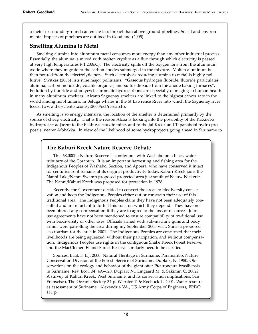a meter or so underground can create less impact than above-ground pipelines. Social and environmental impacts of pipelines are outlined in Goodland (2005)

## **Smelting Alumina to Metal**

Smelting alumina into aluminum metal consumes more energy than any other industrial process. Essentially, the alumina is mixed with molten cryolite as a flux through which electricity is passed at very high temperatures (<1,200oC). The electricity splits off the oxygen ions from the aluminum oxide where they migrate to the carbon anodes submerged in the mixture. Molten aluminum is then poured from the electrolytic pots. Such electrolysis reducing alumina to metal is highly pollutive. Switkes (2005) lists nine major pollutants. "Gaseous hydrogen fluoride, fluoride particulates, alumina, carbon monoxide, volatile organics, and sulfur dioxide from the anode baking furnaces". Pollution by fluoride and polycyclic aromatic hydrocarbons are especially damaging to human health in many aluminum smelters. Alcan's Saguenay smelters are linked to the highest cancer rate in the world among non-humans, in Beluga whales in the St Lawrence River into which the Saguenay river feeds. (www.the-scientist.com/yr2000/oct/research).

As smelting is so energy intensive, the location of the smelter is determined primarily by the source of cheap electricity. That is the reason Alcoa is looking into the possibility of the Kabalebo hydroproject adjacent to the Bakhuys bauxite mine, and to the Jai Kreek and Tapanahoni hydro proposals, nearer Afobakka. In view of the likelihood of some hydroprojects going ahead in Suriname to

### **The Kaburi Kreek Nature Reserve Debate**

This 68,000ha Nature Reserve is contiguous with Washabo on a black-water tributary of the Corantijn. It is an important harvesting and fishing area for the Indigenous Peoples of Washabo, Section, and Apoera, who have conserved it intact for centuries so it remains at its original productivity today. Kaburi Kreek joins the Nanni Lake/Nanni Swamp proposed protected area just south of Nieuw Nickerie. The Nanni/Kaburi Kreek was proposed for protection in 1978.

Recently, the Government decided to convert the areas to biodiversity conservation and keep the Indigenous Peoples either out or constrain their use of this traditional area. The Indigenous Peoples claim they have not been adequately consulted and are reluctant to forfeit this tract on which they depend. They have not been offered any compensation if they are to agree to the loss of resources. Jointuse agreements have not been mentioned to ensure compatibility of traditional use with biodiversity or other uses. Officials armed with sub-machine guns and body armor were patrolling the area during my September 2005 visit. Stinasu proposed eco-tourism for the area in 2001. The Indigenous Peoples are concerned that their livelihoods are being squeezed, without their participation, and without compensation. Indigenous Peoples use rights in the contiguous Snake Kreek Forest Reserve, and the MacClemen Eiland Forest Reserve similarly need to be clarified.

Sources: Baal, F. L.J. 2000. Natural Heritage in Suriname. Paramaribo, Nature Conservation Division of the Forest. Service of Suriname. Duplaix, N. 1980. Observations on the ecology and behavior of the giant otter Pteuroneura brasiliensis in Suriname. Rev. Ecol. 34: 495-620. Duplaix N., Lingaard M. & Sakimin C. 2002? A survey of Kaburi Kreek, West Suriname, and its conservation implications. San Franscisco, The Oceanic Society 34 p. Webster T. & Roebuck L. 2001. Water resources assessment of Suriname. Alexandria VA., US Army Corps of Engineers, ERDC: 111 p.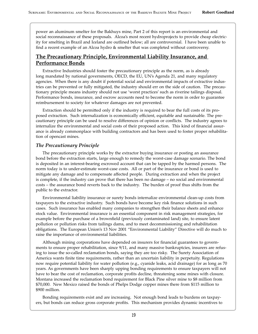power an aluminum smelter for the Bakhuys mine, Part 2 of this report is an environmental and social reconnaissance of these proposals. Alcoa's most recent hydroprojects to provide cheap electricity for smelting in Brazil and Iceland are outlined below; all are controversial. I have been unable to find a recent example of an Alcoa hydro & smelter that was completed without controversy.

#### **The Precautionary Principle, Environmental Liability Insurance, and Performance Bonds**

Extractive Industries should foster the precautionary principle as the norm, as is already long mandated by national governments, OECD, the EU, UN's Agenda 21, and many regulatory agencies. When there is any doubt if potential social and environmental impacts of extractive industries can be prevented or fully mitigated, the industry should err on the side of caution. The precautionary principle means industry should not use 'worst practices' such as riverine tailings disposal. Performance bonds, insurance, and escrow accounts need to become the norm in order to guarantee reimbursement to society for whatever damages are not prevented.

Extraction should be permi�ed only if the industry is required to bear the full costs of its proposed extraction. Such internalization is economically efficient, equitable and sustainable. The precautionary principle can be used to resolve differences of opinion or conflicts. The industry agrees to internalize the environmental and social costs of their proposed action. This kind of financial assurance is already commonplace with building contractors and has been used to foster proper rehabilitation of opencast mines.

#### *The Precautionary Principle*

The precautionary principle works by the extractor buying insurance or posting an assurance bond before the extraction starts, large enough to remedy the worst-case damage scenario. The bond is deposited in an interest-bearing escrowed account that can be tapped by the harmed persons. The norm today is to under-estimate worst-case costs. All or part of the insurance or bond is used to mitigate any damage and to compensate affected people. During extraction and when the project is complete, if the industry can prove that there has been no damage – no social and environmental costs – the assurance bond reverts back to the industry. The burden of proof thus shifts from the public to the extractor.

Environmental liability insurance or surety bonds internalize environmental clean-up costs from taxpayers to the extractive industry. Such bonds have become key risk finance solutions in such cases. Such insurance has enabled many companies to strengthen their balance sheets and enhance stock value. Environmental insurance is an essential component in risk management strategies, for example before the purchase of a brownfield (previously contaminated land) site, to ensure latent pollution or pollution risks from tailings dams, and to meet decommissioning and rehabilitation obligations. The European Union's 13 Nov 2001 "Environmental Liability" Directive will do much to raise the importance of environmental liabilities.

Although mining corporations have depended on insurers for financial guarantees to governments to ensure proper rehabilitation, since 9/11, and many massive bankruptcies, insurers are refusing to issue the so-called reclamation bonds, saying they are too risky. The Surety Association of America wants finite time requirements, rather than an uncertain liability in perpetuity. Regulations now require potential liability for water pollution (e.g., cyanide leaks, acid drainage) for as long as 70 years. As governments have been sharply upping bonding requirements to ensure taxpayers will not have to bear the cost of reclamation, corporate profits decline, threatening some mines with closure. Montana increased the reclamation bond requirement for Black Pine silver mine to \$8 million from \$70,000. New Mexico raised the bonds of Phelps Dodge copper mines there from \$115 million to \$900 million.

Bonding requirements exist and are increasing. Not enough bond leads to burdens on taxpayers, but bonds can reduce gross corporate profits. This mechanism provides dynamic incentives to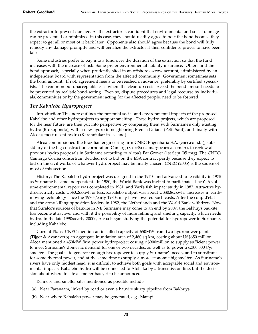the extractor to prevent damage. As the extractor is confident that environmental and social damage can be prevented or minimized in this case, they should readily agree to post the bond because they expect to get all or most of it back later. Opponents also should agree because the bond will fully remedy any damage promptly and will penalize the extractor if their confidence proves to have been false.

Some industries prefer to pay into a fund over the duration of the extraction so that the fund increases with the increase of risk. Some prefer environmental liability insurance. Others find the bond approach, especially when prudently sited in an offshore escrow account, administered by an independent board with representation from the affected community. Government sometimes sets the bond amount. If not, agreement needs to be reached in advance, preferably by certified specialists. The common but unacceptable case where the clean-up costs exceed the bond amount needs to be prevented by realistic bond-setting. Even so, dispute procedures and legal recourse by individuals, communities or by the government acting for the affected people, need to be fostered.

#### *The Kabalebo Hydroproject*

Introduction: This note outlines the potential social and environmental impacts of the proposed Kabalebo and other hydroprojects to support smelting. These hydro projects, which are proposed for the near future, are then put into perspective by comparing them with Suriname's only existing hydro (Brokopondo), with a new hydro in neighboring French Guiana (Petit Saut), and finally with Alcoa's most recent hydro (Karahnjukar in Iceland).

Alcoa commissioned the Brazilian engineering firm CNEC Engenharia S.A. (cnec.com.br), subsidiary of the big construction corporation Camargo Corrêa (camargocorrea.com.br), to review all previous hydro proposals in Suriname according to Alcoa's Pat Grover (1st Sept '05 mtg). The CNEC/ Camargo Corrêa consortium decided not to bid on the ESA contract partly because they expect to bid on the civil works of whatever hydroproject may be finally chosen. CNEC (2005) is the source of most of this section.

History: The Kabalebo hydroproject was designed in the 1970s and advanced to feasibility in 1975 as Suriname became independent. In 1980, the World Bank was invited to participate. Ilaco's 6-volume environmental report was completed in 1981, and Vari's fish impact study in 1982. Attractive hydroelectricity costs US\$0.2c/kwh or less; Kabalebo output was about US\$0.8c/kwh. Increases in earthmoving technology since the 1970s/early 1980s may have lowered such costs. A�er the coup d'état and the army killing opposition leaders in 1982, the Netherlands and the World Bank withdrew. Now that Suralco's sources of bauxite in NE Suriname may come to an end by 2007, the Bakhuys bauxite has become attractive, and with it the possibility of more refining and smelting capacity, which needs hydro. In the late 1990s/early 2000s, Alcoa began studying the potential for hydropower in Suriname, including Kabalebo.

Current Plans: CNEC mention an installed capacity of 650MW from two hydropower plants (Tijger & Avanavero) an aggregate inundation area of 2,460 sq km, costing about US\$650 million. Alcoa mentioned a 450MW firm power hydroproject costing c.\$900million to supply sufficient power to meet Suriname's domestic demand for one or two decades, as well as to power a c.300,000 t/yr smelter. The goal is to generate enough hydropower to supply Suriname's needs, and to substitute for some thermal power, and at the same time to supply a more economic big smelter. As Suriname's rivers have only modest head, it is difficult to achieve both goals with acceptable social and environmental impacts. Kabalebo hydro will be connected to Afobaka by a transmission line, but the decision about where to site a smelter has yet to be announced.

Refinery and smelter sites mentioned as possible include:

- (a) Near Paranaam, linked by road or even a bauxite slurry pipeline from Bakhuys.
- (b) Near where Kabalabo power may be generated, e.g., Matapi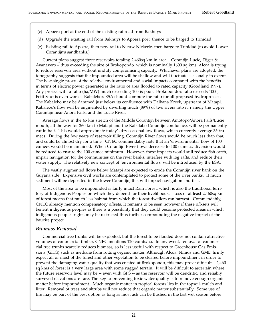- (c) Apoera port at the end of the existing railroad from Bakhuys
- (d) Upgrade the existing rail from Bakhuys to Apoera port, thence to be barged to Trinidad
- (e) Existing rail to Apoera, then new rail to Nieuw Nickerie, then barge to Trinidad (to avoid Lower Corantijn's sandbanks.)

Current plans suggest three reservoirs totaling 2,460sq km in area – Corantijn-Lucie, Tijger & Avanavero – thus exceeding the size of Brokopondo, which is nominally 1600 sq kms. Alcoa is trying to reduce reservoir area without unduly compromising capacity. Whichever plans are adopted, the topography suggests that the impounded area will be shallow and will fluctuate seasonally in extent. The best single proxy of the relative environmental and social impacts compared with the benefits in terms of electric power generated is the ratio of area flooded to rated capacity (Goodland 1997). Any project with a ratio (ha/MW) much exceeding 100 is poor. Brokopondo's ratio exceeds 1000; Petit Saut is even worse. Kabalebo's ESA should compute the ratio for all proposed hydroprojects. The Kabalebo may be dammed just below its confluence with Dalbana Kreek, upstream of Matapi. Kabalebo's flow will be augmented by diverting much (89%) of two rivers into it, namely the Upper Corantijn near Anora Falls, and the Lucie River.

Average flows in the 45 km stretch of the Middle Corantijn between Amotopo/Anora Falls/Lucie mouth, all the way for 260 km to Matapi and the Kabalabo Corantijn confluence, will be permanently cut in half. This would approximate today's dry seasonal low flows, which currently average 350cumecs. During the few years of reservoir filling, Corantijn River flows would be much less than that, and could be almost dry for a time. CNEC commendably note that an 'environmental' flow of 100 cumecs would be maintained. When Corantijn River flows decrease to 100 cumecs, diversion would be reduced to ensure the 100 cumec minimum. However, these impacts would still reduce fish catch, impair navigation for the communities on the river banks, interfere with log rafts, and reduce their water supply. The relatively new concept of 'environmental flows' will be introduced by the ESA.

The vastly augmented flows below Matapi are expected to erode the Corantijn river bank on the Guyana side. Expensive civil works are contemplated to protect some of the river banks. If much sediment will be deposited in the lower Corantijn, this will impact navigation and fish.

Most of the area to be impounded is fairly intact Rain Forest, which is also the traditional territory of Indigenous Peoples on which they depend for their livelihoods. Loss of at least 2,460sq km of forest means that much less habitat from which the forest dwellers can harvest. Commendably, CNEC already mention compensatory offsets. It remains to be seen however if these off-sets will benefit indigenous peoples as there is a possibility that they could become protected areas in which indigenous peoples rights may be restricted thus further compounding the negative impact of the bauxite project.

#### *Biomass Removal*

Commercial tree trunks will be exploited, but the forest to be flooded does not contain a�ractive volumes of commercial timber. CNEC mentions 120 cumts/ha. In any event, removal of commercial tree trunks scarcely reduces biomass, so is less useful with respect to Greenhouse Gas Emissions (GHG) such as methane from rotting organic matter. Although Alcoa, Nimos and GMD firmly expect all or most of the forest and other vegetation to be cleared before impoundment in order to prevent the damaging water quality that was created at Brokopondo, this may prove difficult. 2,460 sq kms of forest is a very large area with some rugged terrain. It will be difficult to ascertain where the future reservoir level may be -- even with GPS -- as the reservoir will be dendritic, and reliably surveyed elevations are rare. The key to preventing toxic water quality is to remove enough organic matter before impoundment. Much organic matter in tropical forests lies in the topsoil, mulch and litter. Removal of trees and shrubs will not reduce that organic matter substantially. Some use of fire may be part of the best option as long as most ash can be flushed in the last wet season before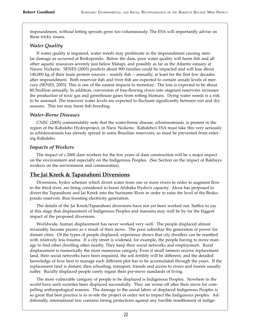impoundment, without letting sprouts grow too voluminously. The ESA will importantly advise on these tricky issues.

#### *Water Quality*

If water quality is impaired, water weeds may proliferate in the impoundment causing similar damage as occurred at Brokopondo. Below the dam, poor water quality will harm fish and all other aquatic resources severely just below Matapi, and possibly as far as the Atlantic estuary at Nieuw Nickerie. SENES (2003) predicts about 900 families could be impacted and will lose about 140,000 kg of their main protein sources – mainly fish -- annually, at least for the first few decades after impoundment. Both reservoir fish and river fish are expected to contain unsafe levels of mercury (SENES, 2003). This is one of the easiest impacts to monetize. The loss is expected to be about \$0.5million annually. In addition, conversion of free-flowing rivers into stagnant reservoirs increases the production of toxic gas and greenhouse gases from ro�ing biomass. Dying water weeds is a risk to be assessed. The reservoir water levels are expected to fluctuate significantly between wet and dry seasons. This too may harm fish breeding.

#### *Water-Borne Diseases*

CNEC (2005) commendably note that the water-borne disease, schistosomiasis, is present in the region of the Kabalebo Hydroproject, in Niew Nickerie. Kabalebo's ESA must take this very seriously as schistosomiasis has already spread in some Brazilian reservoirs, so must be prevented from entering Kabalebo.

#### *Impacts of Workers*

The impact of c.2000 dam workers for the few years of dam construction will be a major impact on the environment and especially on the Indigenous Peoples. (See Section on the impact of Bakhuys workers on the environment and communities).

#### **The Jai Kreek & Tapanahoni Diversions**

Diversions, hydro schemes which divert water from one or more rivers in order to augment flow in the third river, are being considered to boost Afobaka Hydro's capacity. Alcoa has proposed to divert the Tapanahoni and Jai Kreek into the Suriname River in order to raise the level of the Brokopondo reservoir, thus boosting electricity generation.

The details of the Jai Kreek/Tapanahoni diversions have not yet been worked out. Suffice to say at this stage that displacement of Indigenous Peoples and maroons may well be by far the biggest impact of the proposed diversions.

Worldwide, human displacement has never worked very well. The people displaced almost invariably become poorer as a result of their move. The poor subsidize the generation of power for distant cities. Of the types of people displaced, experience shows that city dwellers can be resettled with relatively less trauma. If a city street is widened, for example, the people having to move manage to find other dwelling often nearby. They keep their social networks and employment. Rural displacement is numerically the most numerous category. Even if small farmers receive replacement land, their social networks have been impaired, the soil fertility will be different, and the detailed knowledge of how best to manage each different plot has to be accumulated through the years. If the replacement land is distant, then schooling, transport, friends and access to rivers and forests usually suffer. Rurally displaced people rarely regain their pre-move standards of living.

The most vulnerable category of people to be displaced is Indigenous Peoples. Nowhere in the world have such societies been displaced successfully. They are worse off a�er their move for compelling anthropological reasons. The damage to the social fabric of displaced Indigenous Peoples is so great that best practice is to re-site the project in order not to impact the Indigenous peoples. Additionally, international law contains strong protections against any forcible resettlement of indige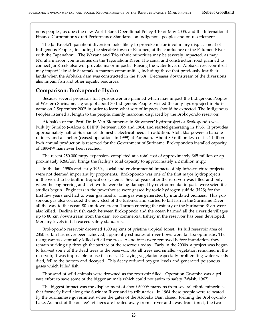nous peoples, as does the new World Bank Operational Policy 4.10 of May 2005, and the International Finance Corporation's draft Performance Standards on indigenous peoples and on resettlement.

The Jai Kreek/Tapanahoni diversion looks likely to provoke major involuntary displacement of Indigenous Peoples, including the sizeable town of Palumeu, at the confluence of the Palumeu River with the Tapanahoni. The Wayana and Trio ethnic minorities may be severely impacted, as may N'djuka maroon communities on the Tapanahoni River. The canal and construction road planned to connect Jai Kreek also will provoke major impacts. Raising the water level of Afobaka reservoir itself may impact lake-side Saramakka maroon communities, including those that previously lost their lands when the Afobaka dam was constructed in the 1960s. Decreases downstream of the diversions also impair fish and other aquatic resources.

#### **Comparison: Brokopondo Hydro**

Because several proposals for hydropower are planned which may impact the Indigenous Peoples of Western Suriname, a group of about 30 Indigenous Peoples visited the only hydroproject in Suriname on 2 September 2005 in order to learn what sort of impacts should be expected. The Indigenous Peoples listened at length to the people, mainly maroons, displaced by the Brokopondo reservoir.

Afobakka or the 'Prof. Dr. Ir. Van Blommenstein Stuwmeer' hydroproject or Brokopondo was built by Suralco (=Alcoa & BHPB) between 1959 and 1964, and started generating in 1965. It provides approximately half of Suriname's domestic electrical need. In addition, Afobakka powers a bauxite refinery and a smelter (ceased operations in 1999) at Paranam. About 80 million kwh of its 1 billion kwh annual production is reserved for the Government of Suriname. Brokopondo's installed capacity of 189MW has never been reached.

The recent 250,000 mtpy expansion, completed at a total cost of approximately \$65 million or approximately \$260/ton, brings the facility's total capacity to approximately 2.2 million mtpy.

In the late 1950s and early 1960s, social and environmental impacts of big infrastructure projects were not deemed important by proponents. Brokopondo was one of the first major hydroprojects in the world to be built in tropical ecosystems. Several years a�er the reservoir was filled and only when the engineering and civil works were being damaged by environmental impacts were scientific studies begun. Engineers in the powerhouse were gassed by toxic hydrogen sulfide (H2S) for the first few years and had to wear gas masks. This gas was generated by inundated biomass. This poisonous gas also corroded the new steel of the turbines and started to kill fish in the Suriname River all the way to the ocean 80 km downstream. Tarpon entering the estuary of the Suriname River were also killed. Decline in fish catch between Brokopondo and the ocean harmed all the riverside villages up to 80 km downstream from the dam. No commercial fishery in the reservoir has been developed. Mercury levels in fish exceed safety standards.

Brokopondo reservoir drowned 1600 sq kms of pristine tropical forest. Its full reservoir area of 2350 sq km has never been achieved; apparently estimates of river flows were far too optimistic. The rising waters eventually killed off all the trees. As no trees were removed before inundation, they remain sticking up through the surface of the reservoir today. Early in the 2000s, a project was begun to harvest some of the dead trees in the reservoir. As all trees and smaller vegetation remained in the reservoir, it was impossible to use fish nets. Decaying vegetation especially proliferating water weeds died, fell to the bottom and decayed. This decay reduced oxygen levels and generated poisonous gases which killed fish.

Thousand of wild animals were drowned as the reservoir filled. Operation Gwamba was a private effort to save some of the bigger animals which could not swim to safety (Walsh, 1967).

The biggest impact was the displacement of about  $6000^{12}$  maroons from several ethnic minorities that formerly lived along the Surinam River and its tributaries. In 1964 these people were relocated by the Surinamese government when the gates of the Afobaka Dam closed, forming the Brokopondo Lake. As most of the oustee's villages are located away from a river and away from forest, the two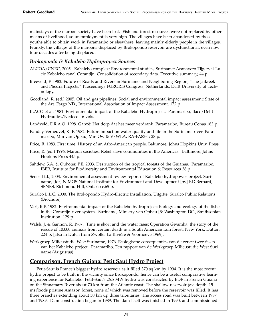mainstays of the maroon society have been lost. Fish and forest resources were not replaced by other means of livelihood, so unemployment is very high. The villages have been abandoned by those youths able to obtain work in Paramaribo or elsewhere, leaving mainly elderly people in the villages. Frankly, the villages of the maroons displaced by Brokopondo reservoir are dysfunctional, even now four decades after being displaced.

#### *Brokopondo & Kabalebo Hydroproject Sources*

- ALCOA/CNEC, 2005. Kabalebo complex: Environmental studies, Suriname: Avanavero-Tijgerval-Lucie Kabalebo canal-Corantijn. Consolidation of secondary data. Executive summary, 44 p.
- Breeveld, F. 1983. Future of Roads and Rivers in Suriname and Neighboring Region, "The Jaikreek and Phedra Projects." Proceedings FURORIS Congress, Netherlands: Delft University of Technology.
- Goodland, R. (ed.) 2005. Oil and gas pipelines: Social and environmental impact assessment: State of the Art. Fargo ND., International Association of Impact Assessment, 172 p.
- ILACO et al. 1981. Environmental impact of the Kabalebo Hydroproject. Paramaribo, Ilaco/Delft Hydraulics/Nedeco: 6 vols.
- Landveld, E.R.A.O. 1998. Ganzë: Het dorp dat het meer verdrank. Paramaribo, Bureau Conas 183 p.
- Pandey-Verheuvel, K. P. 1982. Future impact on water quality and life in the Suriname river. Paramaribo, Min van Opbau, Min Ow & V/WLA, RA-PA83-1: 28 p.
- Price, R. 1983. First time: History of an Afro-American people. Baltimore, Johns Hopkins Univ. Press.
- Price, R. (ed.) 1996. Maroon societies: Rebel slave communities in the Americas. Baltimore, Johns Hopkins Press 445 p.
- Sahdew, S.A. & Ouboter, P.E. 2003. Destruction of the tropical forests of the Guianas. Paramaribo, IBER, Institute for Biodiversity and Environmental Education & Resources 38 p.
- Senes Ltd., 2003. Environmental assessment review report of Kabalebo hydropower project. Suriname, [for] NIMOS National Institute for Environment and Development [by] F.D.Bernard, SENES, Richmond Hill, Ontario c.65 p.
- Suralco L.L.C. 2000. The Brokopondo Hydro-Electric Installation. Uitgifte, Suralco Public Relations (Brochure).
- Vari, R.P. 1982. Environmental impact of the Kabalebo hydroproject: Biology and ecology of the fishes in the Corantijn river system. Suriname, Ministry van Opbau [& Washington DC., Smithsonian Institution] 129 p.
- Walsh, J. & Gannon, R. 1967. Time is short and the water rises; Operation Gwamba: the story of the rescue of 10,000 animals from certain death in a South American rain forest. New York, Dutton 224 p. [also in Dutch from Zwolle: La Rivière & Voorhoeve 1969].
- Werkgroep Milieustudie West-Suriname, 1976. Ecologische consequenties van de eerste twee fasen van het Kabalebo project. Paramaribo, Een rapport van de Werkgroep Milieustudie West-Suriname (Augustus).

#### **Comparison, French Guiana: Petit Saut Hydro Project**

Petit-Saut is France's biggest hydro reservoir as it filled 370 sq km by 1994. It is the most recent hydro project to be built in the vicinity since Brokopondo, hence can be a useful comparative learning experience for Kabalebo. Petit-Saut's 26.5 MW hydro was constructed by EDF in French Guiana on the Sinnamary River about 70 km from the Atlantic coast. The shallow reservoir (av. depth: 15 m) floods pristine Amazon forest, none of which was removed before the reservoir was filled. It has three branches extending about 50 km up three tributaries. The access road was built between 1987 and 1989. Dam construction began in 1989. The dam itself was finished in 1990, and commissioned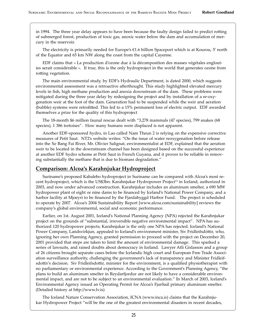in 1994. The three year delay appears to have been because the faulty design failed to predict rotting of submerged forest, production of toxic gas, anoxic water below the dam and accumulation of mercury in the reservoir.

The electricity is primarily needed for Europe's  $\epsilon$ 1.6 billion Spaceport which is at Kourou, 5' north of the Equator and 65 km NW along the coast from the capital Cayenne.

EDF claims that « La production d'ozone due à la décomposition des masses végétales englouties serait considérable ». If true, this is the only hydroproject in the world that generates ozone from rotting vegetation.

The main environmental study, by EDF's Hydraulic Department, is dated 2000, which suggests environmental assessment was a retroactive a�erthought. This study highlighted elevated mercury levels in fish, high methane production and anoxia downstream of the dam. These problems were mitigated during the three year delay by redesigning the project and by installation of a re-oxygenation weir at the foot of the dam. Generation had to be suspended while the weir and aeration (bubble) systems were retrofitted. This led to a 15% permanent loss of electric output. EDF awarded themselves a prize for the quality of this hydroproject

The 18-month \$6 million faunal rescue dealt with "3,278 mammals (47 species), 799 snakes (68 species), 1 386 tortoises". How many humans were displaced is not apparent.

Another EDF-sponsored hydro, in Lao called Nam Theun 2 is relying on the expensive corrective measures of Petit Saut. NT2's website writes: "On the issue of water reoxygenation before release into the Xe Bang Fai River, Mr. Olivier Salignat, environmentalist at EDF, explained that the aeration weir to be located in the downstream channel has been designed based on the successful experience at another EDF hydro scheme at Petit Saut in French Guyana, and it proves to be reliable in removing substantially the methane that is due to biomass degradation."

#### **Comparison: Alcoa's Karahnjukar Hydroproject**

Suriname's proposed Kabalebo hydroproject in Suriname can be compared with Alcoa's most recent hydroproject, which is the US\$3bn. Karahnjukar Hydropower Project<sup>13</sup> in Iceland, authorized in 2003, and now under advanced construction. Karahnjukar includes an aluminum smelter, a 690 MW hydropower plant of eight or nine dams to be financed by Iceland's National Power Company, and a harbor facility at Mjoeyri to be financed by the Fjardabyggd Harbor Fund. The project is scheduled to operate by 2007. Alcoa's 2004 Sustainability Report [www.alcoa.com/sustainability] reviews the company's global environmental, social and economic performance.

Earlier, on 1st. August 2001, Iceland's National Planning Agency (NPA) rejected the Karahnjukar project on the grounds of "substantial, irreversible negative environmental impact". NPA has authorized 120 hydropower projects; Karahnjukar is the only one NPA has rejected. Iceland's National Power Company, Landsvirkjun, appealed to Iceland's environment minister, Siv Fridleifsdóttir, who, ignoring her own Planning Agency, granted permission to proceed with the project on December 20, 2001 provided that steps are taken to limit the amount of environmental damage. This sparked a series of lawsuits, and raised doubts about democracy in Iceland. Lawyer Atli Gislasson and a group of 26 citizens brought separate cases before the Icelandic high court and European Free Trade Association surveillance authority, challenging the government's lack of transparency and Minister Fridleifsdottir's decision. Siv Fridleifsdottir, minister for the environment, is a qualified physiotherapist with no parliamentary or environmental experience. According to the Government's Planning Agency, "the plans to build an aluminum smelter in Reydarfjordur are not likely to have a considerable environmental impact, and are not to be subject to an environmental evaluation." In March of 2003, Iceland's Environmental Agency issued an Operating Permit for Alcoa's Fjarðaál primary aluminum smelter. (Detailed history at h�p://www.lv.is)

The Iceland Nature Conservation Association, ICNA (www.inca.is) claims that the Karahnjukar Hydropower Project "will be the one of the greatest environmental disasters in recent decades,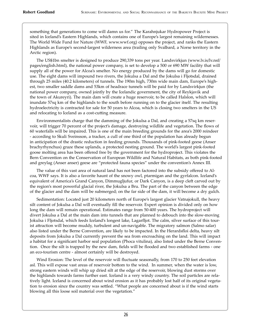something that generations to come will damn us for." The Karahnjukar Hydropower Project is sited in Iceland's Eastern Highlands, which contains one of Europe's largest remaining wildernesses. The World Wide Fund for Nature (WWF, www.wwf.org) opposes the project, and ranks the Eastern Highlands as Europe's second-largest wilderness area (trailing only Svalbard, a Norse territory in the Arctic region).

The US\$1bn smelter is designed to produce 290,339 tons per year. Landsvirkjun (www.lv.is/lv.nsf/ pages/english.html), the national power company, is set to develop a 500 or 690 MW facility that will supply all of the power for Alcoa's smelter. No energy produced by the dams will go for domestic use. The eight dams will impound two rivers, the Jokulsa a Dal and the Jokulsa i Fljotsdal, drained through 25 miles (40.2 kilometers) of tunnels. The 190m high, 730m wide main dam, Europe's highest, two smaller saddle dams and 53km of headrace tunnels will be paid for by Landsvirkjun (the national power company, owned jointly by the Icelandic government, the city of Reykjavik and the town of Akureyri). The main dam will create a huge reservoir, to be called Halslon, which will inundate 57sq km of the highlands to the south before running on to the glacier itself. The resulting hydroelectricity is contracted for sale for 50 years to Alcoa, which is closing two smelters in the US and relocating to Iceland as a cost-cutting measure.

Environmentalists charge that the damming of the Jokulsa a Dal, and creating a 57sq km reservoir, will trigger 70 percent of the project's damage, destroying wildlife and vegetation. The flows of 60 waterfalls will be impaired. This is one of the main breeding grounds for the area's 2000 reindeer - according to Skuli Sveinsson, a tracker, a cull of one third of the population has already begun in anticipation of the drastic reduction in feeding grounds. Thousands of pink-footed geese (Anser brachyrhynchus) graze these uplands, a protected nesting ground. The world's largest pink-footed goose molting area has been offered free by the government for the hydroproject. This violates the Bern Convention on the Conservation of European Wildlife and Natural Habitats, as both pink-footed and greylag (Anser anser) geese are "protected fauna species" under the convention's Annex III.

The value of this vast area of natural land has not been factored into the subsidy offered to Alcoa, WWF says. It is also a favorite haunt of the snowy owl, ptarmigan and the gyrfalcon. Iceland's equivalent of America's Grand Canyon, Dimmugljufur, or Dark Canyon, is a deep cleft carved out by the region's most powerful glacial river, the Jokulsa a Bru. The part of the canyon between the edge of the glacier and the dam will be submerged; on the far side of the dam, it will become a dry gulch.

Sedimentation: Located just 20 kilometers north of Europe's largest glacier Vatnajokull, the heavy silt content of Jokulsa a Dal will eventually fill the reservoir. Expert opinion is divided only on how long the dam will remain operational. Estimates range from 50-400 years. The hydroproject will divert Jokulsa a Dal at the main dam into tunnels that are planned to debouch into the slow-moving Jokulsa i Fljotsdal, which feeds Iceland's longest lake, Lagarfljot. The calm, silver surface of this tourist attraction will become muddy, turbulent and un-navigable. The migratory salmon (Salmo salar) also listed under the Berne Convention, are likely to be impacted. In the Herardsfloi delta, heavy silt deposits from Jokulsa a Dal currently prevent the sea from encroaching on the land. This will impact a habitat for a significant harbor seal population (Phoca vitulina), also listed under the Berne Convention. Once the silt is trapped by the new dam, fields will be flooded and two established farms - one an eco-tourism centre - almost certainly will be destroyed.

Wind Erosion: The level of the reservoir will fluctuate seasonally, from 170 to 250 feet elevation asl. This will expose vast areas of reservoir bottom to the wind. In summer, when the water is low, strong eastern winds will whip up dried silt at the edge of the reservoir, blowing dust storms over the highlands towards farms further east. Iceland is a very windy country. The soil particles are relatively light. Iceland is concerned about wind erosion as it has probably lost half of its original vegetation to erosion since the country was settled. "What people are concerned about is if the wind starts blowing all this loose soil material over the vegetation."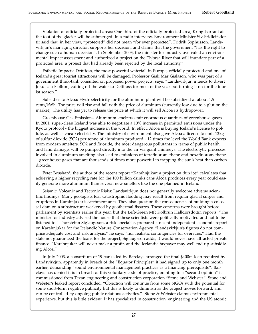Violation of officially protected areas: One third of the officially protected area, Kringilsarrani at the foot of the glacier will be submerged. In a radio interview, Environment Minister Siv Fridleifsdottir said that, in her view, "protected" did not mean "for ever protected". Fridrik Sophusson, Landsvirkjun's managing director, supports her decision, and claims that the government "has the right to change such a human decision". In September 2003, the minister for industry overruled an environmental impact assessment and authorized a project on the Thjorsa River that will inundate part of a protected area, a project that had already been rejected by the local authority."

Esthetic Impacts: De�ifoss, the most powerful waterfall in Europe, officially protected and one of Iceland's great tourist attractions will be damaged. Professor Gisli Mar Gislason, who was part of a government think-tank consulted on proposed power projects, says, "Landsvirkjun intends to divert Jokulsa a Fjollum, cutting off the water to Dettifoss for most of the year but turning it on for the tourist season."

Subsidies to Alcoa: Hydroelectricity for the aluminum plant will be subsidized at about 1.5 cents/kWh. The price will rise and fall with the price of aluminum (currently low due to a glut on the market). The utility has yet to release the price at which it will sell Alcoa its hydropower.

Greenhouse Gas Emissions: Aluminum smelters emit enormous quantities of greenhouse gases. In 2001, super-clean Iceland was able to negotiate a 10% increase in permi�ed emissions under the Kyoto protocol - the biggest increase in the world. In effect, Alcoa is buying Iceland's license to pollute, as well as cheap electricity. The ministry of environment also gave Alcoa a license to emit 12kg of sulfur dioxide (SO2) per tonne of aluminum produced - 12 times the level the World Bank expects from modern smelters. SO2 and fluoride, the most dangerous pollutants in terms of public health and land damage, will be pumped directly into the air via giant chimneys. The electrolytic processes involved in aluminum smelting also lead to emissions of tetrafluoromethane and hexafluoromethane – greenhouse gases that are thousands of times more powerful in trapping the sun's heat than carbon dioxide.

Peter Bosshard, the author of the recent report "Karahnjukar: a project on thin ice" calculates that achieving a higher recycling rate for the 100 billion drinks cans Alcoa produces every year could easily generate more aluminum than several new smelters like the one planned in Iceland.

Seismic, Volcanic and Tectonic Risks: Landsvirkjun does not generally welcome adverse scientific findings. Many geologists fear catastrophic flooding may result from regular glacial surges and eruptions in Karahnjukar's catchment area. They also question the consequences of building a colossal dam on a substructure weakened by geothermal fissures. These concerns were brought before parliament by scientists earlier this year, but the Left-Green MP, Kolbrun Halldorsdottir, reports, "The minister for industry advised the house that these scientists were politically motivated and not to be listened to." Thorsteinn Siglaugsson, a risk specialist, prepared a recent independent economic report on Karahnjukar for the Icelandic Nature Conservation Agency. "Landsvirkjun's figures do not comprise adequate cost and risk analysis," he says, "nor realistic contingencies for overruns." Had the state not guaranteed the loans for the project, Siglaugsson adds, it would never have attracted private finance. "Karahnjukar will never make a profit, and the Icelandic taxpayer may well end up subsidizing Alcoa."

In July 2003, a consortium of 19 banks led by Barclays arranged the final \$400m loan required by Landsvirkjun, apparently in breach of the "Equator Principles" it had signed up to only one month earlier, demanding "sound environmental management practices as a financing prerequisite". Barclays has denied it is in breach of this voluntary code of practice, pointing to a "second opinion" it commissioned from Texan engineering and construction corporation "Stone and Webster". Stone and Webster's leaked report concluded, "Objection will continue from some NGOs with the potential for some short-term negative publicity but this is likely to diminish as the project moves forward, and can be controlled by ongoing public relations activities." Stone & Webster claims environmental experience, but this is little evident. It has specialized in construction, engineering and the US atomic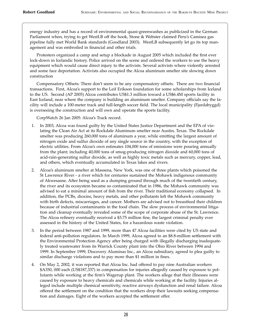energy industry and has a record of environmental quasi-greenwashes as publicized in the German Parliament when, trying to get WestLB off the hook, Stone & Webster claimed Peru's Camisea gas pipeline fully met World Bank standards (Goodland 2003). WestLB subsequently let go its top management and was embroiled in financial and other trials.

Protesters organized a camp and setup a blockade in August 2005 which included the first ever lock-down in Icelandic history. Police arrived on the scene and ordered the workers to use the heavy equipment which would cause direct injury to the activists. Several activists where violently arrested and some face deportation. Activists also occupied the Alcoa aluminum smelter site slowing down construction

Compensatory Offsets: There don't seem to be any compensatory offsets. There are two financial transactions. First, Alcoa's support to the Leif Erikson foundation for some scholarships from Iceland to the US. Second (AP 2005) Alcoa contributes US\$1.3 million toward a US\$6.4M sports facility in East Iceland, near where the company is building an aluminum smelter. Company officials say the facility will include a 100-meter track and full-length soccer field. The local municipality (Fjardabyggd) is overseeing the construction and will own and operate the sports facility.

CorpWatch 26 Jan 2005: Alcoa's Track record.

- 1. In 2003, Alcoa was found guilty by the United States Justice Department and the EPA of violating the Clean Air Act at its Rockdale Aluminum smelter near Austin, Texas. The Rockdale smelter was producing 260,000 tons of aluminum a year, while emitting the largest amount of nitrogen oxide and sulfur dioxide of any single source in the country, with the exception of electric utilities. From Alcoa's own estimates 104,000 tons of emissions were pouring annually from the plant; including 40,000 tons of smog-producing nitrogen dioxide and 60,000 tons of acid-rain-generating sulfur dioxide, as well as highly toxic metals such as mercury, copper, lead, and others, which eventually accumulated in Texas lakes and rivers.
- 2. Alcoa's aluminum smelter at Massena, New York, was one of three plants which poisoned the St Lawrence River - a river which for centuries sustained the Mohawk indigenous community of Akwesasne. After being used as a dumping ground through much of the twentieth century, the river and its ecosystem became so contaminated that in 1986, the Mohawk community was advised to eat a minimal amount of fish from the river. Their traditional economy collapsed. In addition, the PCBs, dioxins, heavy metals, and other pollutants left the Mohawk community with birth defects, miscarriages, and cancer. Mothers are advised not to breastfeed their children because of industrial contaminants in the food chain. The slow process of environmental litigation and cleanup eventually revealed some of the scope of corporate abuse of the St. Lawrence. The Alcoa refinery eventually received a \$3.75 million fine, the largest criminal penalty ever assessed in the history of the United States, for a hazardous waste violation.
- 3. In the period between 1987 and 1999, more than 47 Alcoa facilities were cited by US state and federal anti-pollution regulators. In March 1999, Alcoa agreed to an \$8.8-million settlement with the Environmental Protection Agency after being charged with illegally discharging inadequately treated wastewater from its Warrick County plant into the Ohio River between 1994 and 1999. In September 1999, Discovery Aluminas Inc., an Alcoa subsidiary, agreed to plea guilty to similar discharge violations and to pay more than \$1 million in fines.
- 4. On May 2, 2002, it was reported that Alcoa Inc. had offered to pay nine Australian workers \$A350, 000 each (US\$187,337) in compensation for injuries allegedly caused by exposure to pollutants while working at the firm's Wagerup plant. The workers allege that their illnesses were caused by exposure to heavy chemicals and chemicals while working at the facility. Injuries alleged include multiple chemical sensitivity, reactive airways dysfunction and renal failure. Alcoa offered the settlement on the condition that the workers drop their lawsuits seeking compensation and damages. Eight of the workers accepted the settlement offer.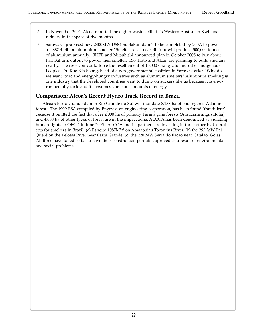- 5. In November 2004, Alcoa reported the eighth waste spill at its Western Australian Kwinana refinery in the space of five months.
- Sarawak's proposed new 2400MW US\$4bn. Bakun dam<sup>14</sup>, to be completed by 2007, to power 6. a US\$2.4 billion aluminium smelter "Smelter Asia" near Bintulu will produce 500,000 tonnes of aluminium annually. BHPB and Mitsubishi announced plan in October 2005 to buy about half Bakun's output to power their smelter. Rio Tinto and Alcan are planning to build smelters nearby. The reservoir could force the resettlement of 10,000 Orang Ulu and other Indigenous Peoples. Dr. Kua Kia Soong, head of a non-governmental coalition in Sarawak asks: "Why do we want toxic and energy-hungry industries such as aluminum smelters? Aluminum smelting is one industry that the developed countries want to dump on suckers like us because it is environmentally toxic and it consumes voracious amounts of energy."

#### <u>Comparison: Alcoa's Recent Hydro Track Record in Brazil</u>

Alcoa's Barra Grande dam in Rio Grande do Sul will inundate 8,138 ha of endangered Atlantic forest. The 1999 ESA compiled by Engevix, an engineering corporation, has been found 'fraudulent' because it omitted the fact that over 2,000 ha of primary Paraná pine forests (Araucaria angustifolia) and 4,000 ha of other types of forest are in the impact zone. ALCOA has been denounced as violating human rights to OECD in June 2005. ALCOA and its partners are investing in three other hydroprojects for smelters in Brazil. (a) Estreito 1087MW on Amazonia's Tocantins River. (b) the 292 MW Pai Querê on the Pelotas River near Barra Grande. (c) the 220 MW Serra do Facão near Catalão, Goiás. All three have failed so far to have their construction permits approved as a result of environmental and social problems.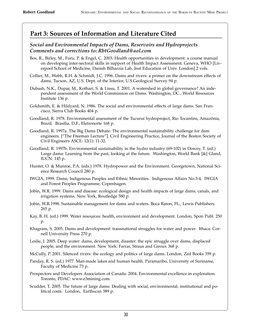## **Part 3: Sources of Information and Literature Cited**

#### *Social and Environmental Impacts of Dams, Reservoirs and Hydroprojects Comments and corrections to: RbtGoodland@aol.com*

- Bos, R., Birley, M., Furu, P. & Engel, C. 2003. Health opportunities in development: a course manual on developing inter-sectoral skills in support of Health Impact Assessment. Geneva, WHO [Liverpool School of Medicine, Danish Bilharzia Lab, Inst Education of Univ. London] 2 vols.
- Collier, M., Webb, R.H. & Schmidt, J.C. 1996. Dams and rivers: a primer on the downstream effects of dams. Tucson, AZ, U.S. Dept. of the Interior, U.S.Geological Survey 94 p.
- Dubash, N.K., Dupar, M., Kothari, S. & Lissu, T. 2001. A watershed in global governance? An independent assessment of the World Commission on Dams. Washington, DC., World Resources Institute 136 p.
- Goldsmith, E. & Hildyard, N. 1986. The social and environmental effects of large dams. San Francisco, Sierra Club Books 404 p.
- Goodland, R. 1978. Environmental assessment of the Tucuruí hydroproject, Rio Tocantins, Amazônia, Brazil. Brasília, D.F., Eletronorte 168 p.
- Goodland, R. 1997a. The Big Dams Debate: The environmental sustainability challenge for dam engineers. ["The Freeman Lecture"]. Civil Engineering Practice, Journal of the Boston Society of Civil Engineers ASCE: 12(1): 11-32.
- Goodland, R. 1997b. Environmental sustainability in the hydro industry (69-102) in Dorcey, T. (ed.) Large dams: Learning from the past, looking at the future. Washington, World Bank [&] Gland, IUCN: 145 p.
- Hunter, O. & Munroe, P.A. (eds.) 1978. Hydropower and the Environment. Georgetown, National Science Research Council 280 p.
- IWGIA, 1999. Dams, Indigenous Peoples and Ethnic Minorities. Indigenous Affairs No.3-4, IWGIA and Forest Peoples Programme, Copenhagen.
- Jobin, W.R. 1999. Dams and disease: ecological design and health impacts of large dams, canals, and irrigation systems. New York, Routledge 580 p.
- Jobin, W.R.1998. Sustainable management for dams and waters. Boca Raton, FL., Lewis Publishers 265 p.
- Kay, B. H. (ed.) 1999. Water resources: health, environment and development. London, Spon Publ. 250 p.
- Khagram, S. 2005. Dams and development: transnational struggles for water and power. Ithaca: Cornell University Press 270 p.
- Leslie, J. 2005. Deep water: dams, development, disaster: the epic struggle over dams, displaced people, and the environment. New York: Farrar, Straus and Giroux 368 p.
- McCully, P. 2001. Silenced rivers: the ecology and politics of large dams. London, Zed Books 359 p.
- Panday, R. S. (ed.) 1977. Man-made lakes and human health. Paramaribo, University of Suriname, Faculty of Medicine 73 p.
- Prospectors and Developers Association of Canada. 2004. Environmental excellence in exploration. Toronto, PDAC: www.e3mining.com.
- Scudder, T. 2005. The future of large dams: Dealing with social, environmental, institutional and political costs. London, Earthscan 389 p.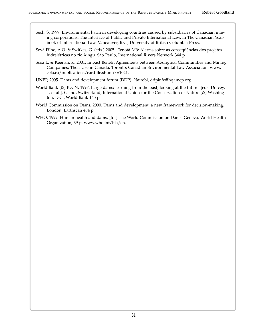- Seck, S. 1999. Environmental harm in developing countries caused by subsidiaries of Canadian mining corporations: The Interface of Public and Private International Law. in The Canadian Yearbook of International Law. Vancouver, B.C., University of British Columbia Press.
- Sevá Filho, A.O. & Switkes, G. (eds.) 2005. Tenotã-Mõ: Alertas sobre as consequências dos projetos hidrelétricas no rio Xingu. São Paulo, International Rivers Network 344 p.
- Sosa I., & Keenan, K. 2001. Impact Benefit Agreements between Aboriginal Communities and Mining Companies: Their Use in Canada. Toronto: Canadian Environmental Law Association: www. cela.ca/publications/cardfile.shtml?x=1021.
- UNEP, 2005. Dams and development forum (DDP). Nairobi, ddpinfo@hq.unep.org.
- World Bank [&] IUCN. 1997. Large dams: learning from the past, looking at the future. [eds. Dorcey, T. et al.]. Gland, Switzerland, International Union for the Conservation of Nature [&] Washington, D.C., World Bank 145 p.
- World Commission on Dams, 2000. Dams and development: a new framework for decision-making. London, Earthscan 404 p.
- WHO, 1999. Human health and dams. [for] The World Commission on Dams. Geneva, World Health Organization, 39 p. www.who.int/hia/en.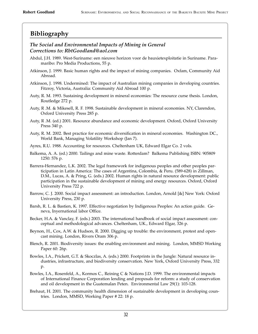## **Bibliography**

#### *The Social and Environmental Impacts of Mining in General Corrections to: RbtGoodland@aol.com*

- Abdul, J.H. 1989. West-Suriname: een nieuwe horizon voor de bauxietexploitatie in Suriname. Paramaribo: Pro Media Productions, 55 p.
- Atkinson, J. 1999. Basic human rights and the impact of mining companies. Oxfam, Community Aid Abroad.
- Atkinson, J. 1998. Undermined: The impact of Australian mining companies in developing countries. Fitzroy, Victoria, Australia: Community Aid Abroad 100 p.
- Auty, R. M. 1993. Sustaining development in mineral economies: The resource curse thesis. London, Routledge 272 p.
- Auty, R .M. & Mikesell, R. F. 1998. Sustainable development in mineral economies. NY, Clarendon, Oxford University Press 285 p.
- Auty, R .M. (ed.) 2001. Resource abundance and economic development. Oxford, Oxford University Press 340 p.
- Auty, R. M. 2002. Best practice for economic diversification in mineral economies. Washington DC., World Bank, Managing Volatility Workshop (Jan 7).
- Ayres, R.U. 1988. Accounting for resources. Cheltenham UK, Edward Elgar Co. 2 vols.
- Balkema, A. A. (ed.) 2000. Tailings and mine waste. Rotterdam? Balkema Publishing ISBN: 905809 1250: 576 p.
- Barrera-Hernandez, L.K. 2002. The legal framework for indigenous peoples and other peoples participation in Latin America: The cases of Argentina, Colombia, & Peru. (589-628) in Zillman, D.M., Lucas, A. & Pring, G. (eds.) 2002. Human rights in natural resource development: public participation in the sustainable development of mining and energy resources. Oxford, Oxford University Press 722 p.
- Barrow, C. J. 2000. Social impact assessment: an introduction. London, Arnold [&] New York: Oxford University Press, 230 p.
- Barsh, R. L. & Bastien, K. 1997. Effective negotiation by Indigenous Peoples: An action guide. Geneva, Inyernational labor Office.
- Becker, H.A. & Vanclay, F. (eds.) 2003. The international handbook of social impact assessment: conceptual and methodological advances. Cheltenham, UK., Edward Elgar, 326 p.
- Beynon, H., Cox, A.W. & Hudson, R. 2000. Digging up trouble: the environment, protest and opencast mining. London, Rivers Oram 306 p.
- Blench, R. 2001. Biodiversity issues: the enabling environment and mining. London, MMSD Working Paper 60: 26p.
- Bowles, I.A., Prickett, G.T. & Skoczlas, A. (eds.) 2000. Footprints in the Jungle: Natural resource industries, infrastructure, and biodiversity conservation. New York, Oxford University Press, 332 p.
- Bowles, I.A., Rosenfeld, A., Kormos C., Reining C & Nations J.D. 1999. The environmental impacts of International Finance Corporation lending and proposals for reform: a study of conservation and oil development in the Guatemalan Peten. Environmental Law 29(1): 103-128.
- Brehaut, H. 2001. The community health dimension of sustainable development in developing countries. London, MMSD, Working Paper # 22: 18 p.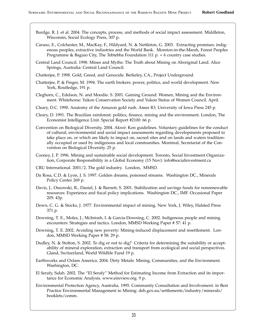- Burdge, R. J. et al. 2004. The concepts, process, and methods of social impact assessment. Middleton, Wisconsin, Social Ecology Press, 307 p.
- Caruso, E., Colchester, M., MacKay, F., Hildyard, N. & Nettleton, G. 2003. Extracting promises: indigenous peoples, extractive industries and the World Bank. Moreton-in-the-Marsh, Forest Peoples Programme & Baguio City, The Tebtebba Foundation 111 p. + 6 country case studies.
- Central Land Council. 1998. Mines and Myths: The Truth about Mining on Aboriginal Land. Alice Springs, Australia: Central Land Council.
- Chatterjee, P. 1998. Gold, Greed, and Genocide. Berkeley, CA., Project Underground.
- Chatterjee, P. & Finger, M. 1994. The earth brokers: power, politics, and world development. New York, Routledge, 191 p.
- Cleghorn, C., Edelson, N. and Moodie. S. 2001. Gaining Ground: Women, Mining and the Environment. Whitehorse: Yukon Conservation Society and Yukon Status of Women Council. April.
- Cleary, D.C. 1990. Anatomy of the Amazon gold rush. Ames IO, University of Iowa Press 245 p.
- Cleary, D. 1991. The Brazilian rainforest: politics, finance, mining and the environment. London, The Economist Intelligence Unit. Special Report #2100: 66 p.
- Convention on Biological Diversity, 2004. Akwé: Kon guidelines. Voluntary guidelines for the conduct of cultural, environmental and social impact assessments regarding developments proposed to take place on, or which are likely to impact on, sacred sites and on lands and waters traditionally occupied or used by indigenous and local communities. Montreal, Secretariat of the Convention on Biological Diversity. 25 p.
- Cooney, J. P. 1996. Mining and sustainable social development. Toronto, Social Investment Organization, Corporate Responsibility in a Global Economy (15 Nov): info@socialinvestment.ca
- CRU International. 2001/2. The gold industry. London, MMSD.
- Da Rosa, C.D. & Lyon, J. S. 1997. Golden dreams, poisoned streams. Washington DC., Minerals Policy Center 269 p.
- Davis, J., Ossowski, R., Daniel, J. & Barnett, S. 2001. Stabilization and savings funds for nonrenewable resources: Experience and fiscal policy implications. Washington DC., IMF. Occasional Paper 205: 43p.
- Down, C. G. & Stocks, J. 1977. Environmental impact of mining. New York, J. Wiley, Halsted Press 371 p.
- Downing, T. E., Moles, J., McIntosh, I. & Garcia-Downing, C. 2002. Indigenous people and mining encounters: Strategies and tactics. London, MMSD Working Paper # 57: 41 p.
- Downing, T. E. 2002. Avoiding new poverty: Mining-induced displacement and resettlement. London, MMSD Working Paper # 58: 29 p.
- Dudley, N. & Stolton, S. 2002. To dig or not to dig? Criteria for determining the suitability or acceptability of mineral exploration, extraction and transport from ecological and social perspectives. Gland, Switzerland, World Wildlife Fund 19 p.
- Earthworks and Oxfam America. 2004. Dirty Metals: Mining, Communities, and the Environment. Washington, DC.
- El Serafy, Salah. 2002. The "El Serafy" Method for Estimating Income from Extraction and its importance for Economic Analysis. www.eireview.org. 9 p.
- Environmental Protection Agency, Australia. 1995. Community Consultation and Involvement. in Best Practice Environmental Management in Mining: deh.gov.au/settlements/industry/minerals/ booklets/comm.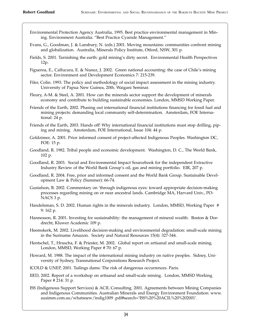- Environmental Protection Agency Australia, 1995. Best practice environmental management in Mining. Environment Australia: "Best Practice Cyanide Management."
- Evans, G., Goodman, J. & Lansbury, N. (eds.) 2001. Moving mountains: communities confront mining and globalization. Australia, Minerals Policy Institute, Otford, NSW, 301 p.
- Fields, S. 2001. Tarnishing the earth: gold mining's dirty secret. Environmental Health Perspectives 12p.
- Figueroa, E., Calfucura, E. & Nunez, J. 2002. Green national accounting: the case of Chile's mining sector. Environment and Development Economics 7: 215-239.
- Filer, Colin. 1993. The policy and methodology of social impact assessment in the mining industry. University of Papua New Guinea, 20th. Waigani Seminar.
- Fleury, A-M. & Steel, A. 2001. How can the minerals sector support the development of minerals economy and contribute to building sustainable economies. London, MMSD Working Paper.
- Friends of the Earth, 2002. Phasing out international financial institutions financing for fossil fuel and mining projects: demanding local community self-determination. Amsterdam, FOE International: 24 p.
- Friends of the Earth, 2003. Hands off! Why international financial institutions must stop drilling, piping and mining. Amsterdam, FOE International, Issue 104: 44 p.
- Goldzimer, A. 2001. Prior informed consent of project-affected Indigenous Peoples. Washington DC, FOE: 15 p.
- Goodland, R. 1982. Tribal people and economic development. Washington, D. C., The World Bank, 102 p.
- Goodland, R. 2003. Social and Environmental Impact Sourcebook for the independent Extractive Industry Review of the World Bank Group's oil, gas and mining portfolio. EIR, 207 p.
- Goodland, R. 2004. Free, prior and informed consent and the World Bank Group. Sustainable Development Law & Policy (Summer): 66-74.
- Gustafson, B. 2002. Commentary on 'through indigenous eyes: toward appropriate decision-making processes regarding mining on or near ancestral lands. Cambridge MA, Harvard Univ., PO-NACS 3 p.
- Handelsman, S. D. 2002. Human rights in the minerals industry. London, MMSD, Working Paper # 9: 162 p.
- Hannesson, R. 2001. Investing for sustainability: the management of mineral wealth. Boston & Dordrecht, Kluwer Academic 109 p.
- Heemskerk, M. 2002. Livelihood decision-making and environmental degradation: small-scale mining in the Suriname Amazon. Society and Natural Resources 15(4): 327-344.
- Hentschel, T., Hruscha, F. & Priester, M. 2002. Global report on artisanal and small-scale mining. London, MMSD, Working Paper # 70: 67 p.
- Howard, M. 1988. The impact of the international mining industry on native peoples. Sidney, University of Sydney, Transnational Corporations Research Project.
- ICOLD & UNEP, 2001. Tailings dams: The risk of dangerous occurrences. Paris.
- IIED, 2002. Report of a workshop on artisanal and small-scale mining. London, MMSD Working Paper # 214: 31 p.
- ISS (Indigenous Support Services) & ACIL Consulting. 2001. Agreements between Mining Companies and Indigenous Communities. Australian Minerals and Energy Environment Foundation: www. ausimm.com.au/whatsnew/indig1009 .pdf#search='ISS%20%20ACIL%20%202001'.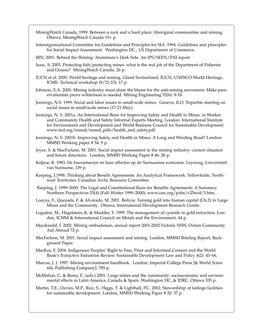- MiningWatch Canada, 1999. Between a rock and a hard place: Aboriginal communities and mining. Ottawa, MiningWatch Canada 19+ p.
- Interorganizational Committee for Guidelines and Principles for SIA. 1994. Guidelines and principles for Social Impact Assessment. Washington DC., US Department of Commerce.
- IRN, 2001. Behind the Shining: Aluminum's Dark Side. An IPS/SEEN/TNI report
- Isaac, S. 2005. Protecting fish/protecting mines: what is the real job of the Department of Fisheries and Oceans? MiningWatch Canada, 26 p.
- IUCN et al. 2000. World heritage and mining. Gland Switzerland, IUCN, UNESCO World Heritage, ICME: Technical workshop (9/21-23): 17 p.
- Johnson, E.A. 2000. Mining industry must share the blame for the anti-mining movement: Make preservationists prove wilderness is needed. Mining Engineering 52(6): 8-18.
- Jennings, N.S. 1999. Social and labor issues in small-scale mines. Geneva, ILO, Tripartite meeting on social issues in small-scale mines (17-21 May).
- Jennings, N. S. 2001a. An International Basis for Improving Safety and Health in Mines. in Worker and Community Health and Safety Informal Experts Meeting. London: International Institute for Environment and Development and World Business Council for Sustainable Development. www.iied.org/mmsd/mmsd\_pdfs/health\_and\_safety.pdf.
- Jennings, N. S. 2001b. Improving Safety and Health in Mines: A Long and Winding Road? London: MMSD Working paper # 54: 9 p.
- Joyce, S. & MacFarlane, M. 2001. Social impact assessment in the mining industry: current situation and future directions. London, MMSD Working Paper # 46: 28 p.
- Kalpoe, R. 1983. De bauxietsector en haar effecten op de Surinaamse economie. Leysweg, Universiteit van Suriname, 139 p.
- Keeping, J.1998. Thinking about Benefit Agreements: An Analytical Framework. Yellowknife, Northwest Territories: Canadian Arctic Resource Committee.
- Keeping, J. 1999–2000. The Legal and Constitutional Basis for Benefits Agreements: A Summary. Northern Perspectives 25(4) (Fall–Winter 1999–2000): www.carc.org/pubs/v25no4/3.htm.
- Loayza, F., Quezada, F. & Alvarado, M. 2001. Bolivia: Turning gold into human capital (Ch.2) in Large Mines and the Community. Ottawa, International Development Research Centre.
- Logsdon, M., Hagelstein, K. & Mudder, T. 1999. The management of cyanide in gold extraction. London, ICMM & International Council on Metals and the Environment. 44 p.
- Macdonald, I. 2002. Mining ombudsman, annual report 2001-2002.Victoria NSW, Oxfam Community Aid Abroad 72 p.
- MacFarlane, M. 2001. Social impact assessment and mining. London, MMSD Briefing Report, Background Paper.
- MacKay, F. 2004. Indigenous Peoples' Right to Free, Prior and Informed Consent and the World Bank's Extractive Industries Review. Sustainable Development Law and Policy 4(2): 43–66.
- Marcus, J. J. 1997. Mining environment handbook. London, Imperial College Press [& World Scientific Publishing Company]: 785 p.
- McMahon, G. & Remy, F., (eds.) 2001. Large mines and the community: socioeconomic and environmental effects in Latin America, Canada & Spain. Washington DC, & IDRC, Ottawa 335 p.
- Martin, T.E., Davies, M.P., Rice, S., Higgs, T. & Lighthall, P.C. 2002. Stewardship of tailings facilities for sustainable development. London, MMSD Working Paper # 20: 37 p.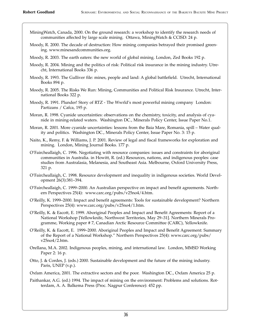- MiningWatch, Canada, 2000. On the ground research: a workshop to identify the research needs of communities affected by large scale mining. Ottawa, MiningWatch & CCISD: 24 p.
- Moody, R. 2000. The decade of destruction: How mining companies betrayed their promised greening. www.minesandcommunities.org.
- Moody, R. 2003. The earth eaters: the new world of global mining. London, Zed Books 192 p.
- Moody, R. 2004. Mining and the politics of risk: Political risk insurance in the mining industry. Utrecht, International Books 336 p.
- Moody, R. 1993. The Gulliver file: mines, people and land: A global battlefield. Utrecht, International Books 894 p.
- Moody, R. 2005. The Risks We Run: Mining, Communities and Political Risk Insurance. Utrecht, International Books 322 p.
- Moody, R. 1991. Plunder! Story of RTZ The Wwrld's most powerful mining company London: Partizans / Cafca, 195 p.
- Moran, R. 1998. Cyanide uncertainties: observations on the chemistry, toxicity, and analysis of cyanide in mining-related waters. Washington DC., Minerals Policy Center, Issue Paper No.1.
- Moran, R. 2001. More cyanide uncertainties: lessons from the Baia Mare, Romania, spill Water quality and politics. Washington DC., Minerals Policy Center, Issue Paper No. 3: 15 p.
- Naito, K., Remy, F. & Williams, J. P. 2001. Review of legal and fiscal frameworks for exploration and mining. London, Mining Journal Books. 177 p.
- O'Faircheallaigh, C. 1996. Negotiating with resource companies: issues and constraints for aboriginal communities in Australia. in Howitt, R. (ed.) Resources, nations, and indigenous peoples: case studies from Australasia, Melanesia, and Southeast Asia. Melbourne, Oxford University Press, 321 p.
- O'Faircheallaigh, C. 1998. Resource development and inequality in indigenous societies. World Development 26(3):381–394.
- O'Faircheallaigh, C. 1999–2000. An Australian perspective on impact and benefit agreements. Northern Perspectives 25(4): www.carc.org/pubs/v25no4/4.htm.
- O'Reilly, K. 1999–2000. Impact and benefit agreements: Tools for sustainable development? Northern Perspectives 25(4): www.carc.org/pubs/v25no4/1.htm.
- O'Reilly, K. & Eacott, E. 1999. Aboriginal Peoples and Impact and Benefit Agreements: Report of a National Workshop [Yellowknife, Northwest Territories, May 29–31]. Northern Minerals Programme, Working paper # 7, Canadian Arctic Resource Committee (CARC), Yellowknife.
- O'Reilly, K. & Eacott, E. 1999–2000. Aboriginal Peoples and Impact and Benefit Agreement: Summary of the Report of a National Workshop." Northern Perspectives 25(4): www.carc.org/pubs/ v25no4/2.htm.
- Orellana, M.A. 2002. Indigenous peoples, mining, and international law. London, MMSD Working Paper 2: 16 p.
- Otto, J. & Cordes, J. (eds.) 2000. Sustainable development and the future of the mining industry. Paris, UNEP (v.p.).
- Oxfam America, 2001. The extractive sectors and the poor. Washington DC., Oxfam America 25 p.
- Paithankar, A.G. (ed.) 1994. The impact of mining on the environment: Problems and solutions. Rotterdam, A. A. Balkema Press (Proc. Nagpur Conference): 452 pp.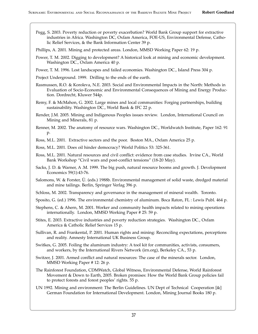Pegg, S. 2003. Poverty reduction or poverty exacerbation? World Bank Group support for extractive industries in Africa. Washington DC, Oxfam America, FOE-US, Environmental Defense, Catholic Relief Services, & the Bank Information Center 39 p.

Phillips, A. 2001. Mining and protected areas. London, MMSD Working Paper 62: 19 p.

- Power, T. M. 2002. Digging to development? A historical look at mining and economic development. Washington DC., Oxfam America 40 p.
- Power, T. M. 1996. Lost landscapes and failed economies. Washington DC., Island Press 304 p.
- Project Underground. 1999. Drilling to the ends of the earth.
- Rasmussen, R.O. & Koroleva, N.E. 2003. Social and Environmental Impacts in the North: Methods in Evaluation of Socio-Economic and Environmental Consequences of Mining and Energy Production. Dordrecht, Kluwer 544p.
- Remy, F. & McMahon, G. 2002. Large mines and local communities: Forging partnerships, building sustainability. Washington DC., World Bank & IFC 22 p.
- Render, J.M. 2005. Mining and Indigenous Peoples issues review. London, International Council on Mining and Minerals, 81 p.
- Renner, M. 2002. The anatomy of resource wars. Washington DC., Worldwatch Institute, Paper 162: 91 p.
- Ross, M.L. 2001. Extractive sectors and the poor. Boston MA., Oxfam America 25 p.
- Ross, M.L. 2001. Does oil hinder democracy? World Politics 53: 325-361.
- Ross, M.L. 2001. Natural resources and civil conflict: evidence from case studies. Irvine CA., World Bank Workshop "Civil wars and post-conflict tensions" (18-20 May).
- Sacks, J. D. & Warner, A .M. 1999. The big push, natural resource booms and growth. J. Development Economics 59(1):43-76.
- Salomons, W. & Forster, Ü. (eds.) 1988b. Environmental management of solid waste, dredged material and mine tailings. Berlin, Springer Verlag 396 p.
- Schloss, M. 2002. Transparency and governance in the management of mineral wealth. Toronto.
- Sposito, G. (ed.) 1996. The environmental chemistry of aluminum. Boca Raton, FL : Lewis Publ. 464 p.
- Stephens, C. & Ahern, M. 2001. Worker and community health impacts related to mining operations internationally. London, MMSD Working Paper # 25: 59 p.
- Stites, E. 2003. Extractive industries and poverty reduction strategies. Washington DC., Oxfam America & Catholic Relief Services 15 p.
- Sullivan, R. and Frankental, P. 2001. Human rights and mining: Reconciling expectations, perceptions and reality. Amnesty International UK Business Group.
- Switkes, G. 2005. Foiling the aluminum industry: A tool kit for communities, activists, consumers, and workers, by the International Rivers Network (irn.org), Berkeley CA., 53 p.
- Switzer, J. 2001. Armed conflict and natural resources: The case of the minerals sector. London, MMSD Working Paper # 12: 26 p.
- The Rainforest Foundation, CDMWatch, Global Witness, Environmental Defense, World Rainforest Movement & Down to Earth, 2005. Broken promises: How the World Bank Group policies fail to protect forests and forest peoples' rights. 55 p.
- UN 1992. Mining and environment: The Berlin Guidelines. UN Dept of Technical Cooperation [&] German Foundation for International Development. London, Mining Journal Books 180 p.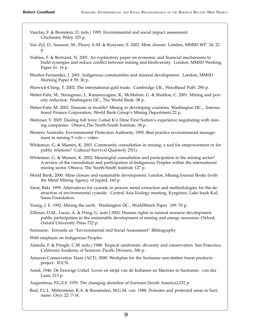- Vanclay, F. & Bronstein, D. (eds.) 1995. Environmental and social impact assessment. Chichester, Wiley 325 p.
- Van Zyl, D., Sassoon, M., Fleury A-M. & Kyeyune, S. 2002. Mine closure. London, MMSD WP 34: 22 p.
- Vorhies, F. & Bertrand, N. 2001. An exploratory paper on economic and financial mechanisms to build synergies and reduce conflict between mining and biodiversity. London, MMSD Working Paper 61: 16 p.
- Warden-Fernandez, J. 2001. Indigenous communities and mineral development. London, MMSD Working Paper # 59: 30 p.
- Warwick-Ching, T. 2002. The international gold trade. Cambridge UK., Woodhead Publ. 290 p.
- Weber-Fahr, M., Strongman, J., Kunanayagam, R., McMahon, G. & Sheldon, C. 2001. Mining and poverty reduction. Washington DC., The World Bank: 38 p.
- Weber-Fahr, M. 2002. Treasure or trouble? Mining in developing countries. Washington DC., International Finance Corporation, World Bank Group's Mining Department 22 p.
- Weitzner, V. 2005. Dealing full force: Lutsel K'e Dene First Nation's experience negotiating with mining companies. Ottawa,The North-South Institute, 38 p.
- Western Australia: Environmental Protection Authority, 1995. Best practice environmental management in mining 9 vols + video.
- Whiteman, G. & Mamen, K. 2001. Community consultation in mining: a tool for empowerment or for public relations? Cultural Survival Quarterly 25(1).
- Whiteman, G. & Mamen, K. 2002. Meaningful consultation and participation in the mining sector? A review of the consultation and participation of Indigenous Peoples within the international mining sector. Ottawa, The North-South Institute 127 p.
- World Bank, 2000. Mine closure and sustainable development. London, Mining Journal Books [with the Metal Mining Agency of Japan]: 160 p.
- Yarar, Baki. 1999. Alternatives for cyanide in process metal extraction and methodologies for the destruction of environmental cyanide. Central Asia Ecology meeting, Kyrgistan, Lake Issyk Kul, Soros Foundation.
- Young, J. E. 1992. Mining the earth. Washington DC., WorldWatch Paper 109: 53 p.
- Zillman, D.M., Lucas, A. & Pring, G. (eds.) 2002. Human rights in natural resource development: public participation in the sustainable development of mining and energy resources. Oxford, Oxford University Press 722 p.
- Suriname: Towards an "Environmental and Social Assessment" Bibliography
- With emphasis on Indigenous Peoples
- Almeda, F. & Pringle, C.M. (eds.) 1988. Tropical rainforests: diversity and conservation. San Francisco, California Academy of Sciences: Pacific Division, 306 p.
- Amazon Conservation Team (ACT). 2000. Workplan for the Suriname non-timber forest products project. IUCN.
- Assid, 1946. De Eeuwige Cirkel. Leven en strijd van de Indianen en Marrons in Suriname. van der Laan, 213 p.

Augustinus, P.G.E.F. 1978. The changing shoreline of Surinam (South America).232 p.

Baal, F.L.J., Mittermeier, R.A. & Roosmalen, M.G.M. van. 1988. Primates and protected areas in Suriname. Oryx 22: 7-14.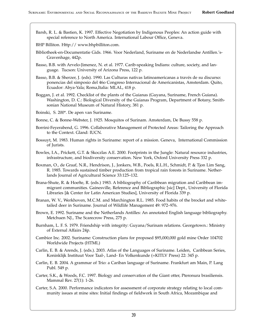Barsh, R. L. & Bastien, K. 1997. Effective Negotiation by Indigenous Peoples: An action guide with special reference to North America. International Labour Office, Geneva.

BHP Billiton. Http:// www.bhpbilliton.com.

- Bibliotheek-en-Documentatie Gids. 1966. Voor Nederland, Suriname en de Nederlandse Antillen.'s-Gravenhage, 442p.
- Basso, B.B. with Arvelo-Jimenez, N. et al. 1977. Carib-speaking Indians: culture, society, and language. Tucson: University of Arizona Press, 122 p.
- Basso, B.B. & Sherzer, J. (eds). 1990. Las Culturas nativas latinoamericanas a través de su discurso: ponencias del simposio del 46o Congreso Internacional de Americanistas, Amsterdam. Quito, Ecuador: Abya-Yala; Roma,Italia: MLAL, 418 p.
- Boggan, J. et al. 1992. Checklist of the plants of the Guianas (Guyana, Suriname, French Guiana). Washington, D. C.: Biological Diversity of the Guianas Program, Department of Botany, Smithsonian National Museum of Natural History, 381 p.
- Boinski, S. 200\*. De apen van Suriname.
- Bonne, C. & Bonne-Webster, J. 1925. Mosquitos of Surinam. Amsterdam, De Bussy 558 p.
- Borrini-Feyerabend, G. 1996. Collaborative Management of Protected Areas: Tailoring the Approach to the Context. Gland: IUCN.
- Bossuyt, M. 1983. Human rights in Suriname: report of a mission. Geneva, International Commission of Jurists.
- Bowles, I.A., Prickett, G.T. & Skoczlas A.E. 2000. Footprints in the Jungle: Natural resource industries, infrastructure, and biodiversity conservation. New York, Oxford University Press 332 p.
- Boxman, O., de Graaf, N.R., Hendrison, J., Jonkers, W.B., Poels, R.L.H., Schmidt, P. & Tjon Lim Sang, R. 1985. Towards sustained timber production from tropical rain forests in Suriname. Netherlands Journal of Agricultural Science 33:125–132.
- Brana-Shute, R. & Hoefte, R. (eds.) 1983. A bibliography of Caribbean migration and Caribbean immigrant communities. Gainesville, Reference and Bibliographic [sic] Dept., University of Florida Libraries [& Center for Latin American Studies], University of Florida 339 p.
- Branan, W. V., Werkhoven, M.C.M. and Marchington R.L. 1985. Food habits of the brocket and whitetailed deer in Suriname. Journal of Wildlife Management 49: 972–976.
- Brown, E. 1992. Suriname and the Netherlands Antilles: An annotated English language bibliography. Metchuen NJ., The Scarecrow Press, 275 p.
- Burnham, L. F. S. 1979. Friendship with integrity: Guyana/Surinam relations. Georgetown.: Ministry of External Affairs 24p.
- Cambior Inc. 2002. Suriname: Construction plans for proposed \$95,000,000 gold mine Order 104702 Worldwide Projects (HTML)
- Carlin, E. B. & Arends, J. (eds.). 2003. Atlas of the Languages of Suriname. Leiden, Caribbean Series, Koninklijk Instituut Voor Taal-, Land- En Volkenkunde (=KITLV Press) 22: 345 p.
- Carlin, E. B. 2004. A grammar of Trio: a Cariban language of Suriname. Frankfurt am Main, P. Lang Publ. 549 p.
- Carter, S.K., & Woods, F.C. 1997. Biology and conservation of the Giant otter, Pteronura brasiliensis. Mammal Rev. 27(1): 1-26.
- Carter, S.A. 2000. Performance indicators for assessment of corporate strategy relating to local community issues at mine sites: Initial findings of fieldwork in South Africa, Mozambique and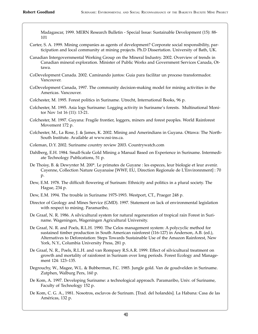Madagascar, 1999. MERN Research Bulletin - Special Issue: Sustainable Development (15): 88- 101

- Carter, S. A. 1999. Mining companies as agents of development? Corporate social responsibility, participation and local community at mining projects. Ph.D Dissertation. University of Bath, UK.
- Canadian Intergovernmental Working Group on the Mineral Industry. 2002. Overview of trends in Canadian mineral exploration. Minister of Public Works and Government Services Canada, Ottawa.
- CoDevelopment Canada. 2002. Caminando juntos: Guia para facilitar un proceso transformador. Vancouver.
- CoDevelopment Canada, 1997. The community decision-making model for mining activities in the Americas. Vancouver.
- Colchester, M. 1995. Forest politics in Suriname. Utrecht, International Books, 96 p.
- Colchester, M. 1995. Asia logs Suriname: Logging activity in Suriname's forests. Multinational Monitor Nov 1st 16 (11): 13-21.
- Colchester, M. 1997. Guyana: Fragile frontier, loggers, miners and forest peoples. World Rainforest Movement 172 p.
- Colchester, M., La Rose, J. & James, K. 2002. Mining and Amerindians in Guyana. Ottawa: The North-South Institute. Available at www.nsi-ins.ca.
- Coleman, D.Y. 2002. Suriname country review 2003. Countrywatch.com
- Dahlberg, E.H. 1984. Small-Scale Gold Mining a Manual Based on Experience in Suriname. Intermediate Technology Publications, 51 p.
- De Thoisy, B. & Dewynter M. 200\*. Le primates de Guyane : les especes, leur biologie et leur avenir. Cayenne, Collection Nature Guyanaise [WWF, EU, Direction Regionale de L'Environnment] : 70 p.
- Dew, E.M. 1978. The difficult flowering of Surinam: Ethnicity and politics in a plural society. The Hague, 234 p.
- Dew, E.M. 1994. The trouble in Suriname 1975-1993. Westport, CT., Praeger 248 p.
- Director of Geology and Mines Service (GMD). 1997. Statement on lack of environmental legislation with respect to mining. Paramaribo,
- De Graaf, N. R. 1986. A silvicultural system for natural regeneration of tropical rain Forest in Suriname. Wageningen, Wageningen Agricultural University.
- De Graaf, N. R. and Poels, R.L.H. 1990. The Celos management system: A polycyclic method for sustained timber production in South American rainforest (116-127) in Anderson, A.B. (ed.), Alternatives to Deforestation: Steps Towards Sustainable Use of the Amazon Rainforest, New York, N.Y., Columbia University Press, 281 p.
- De Graaf, N. R., Poels, R.L.H. and van Rompaey R.S.A.R. 1999. Effect of silvicultural treatment on growth and mortality of rainforest in Surinam over long periods. Forest Ecology and Management 124: 123–135.
- Degrouchy, W., Magee, W.L. & Bubberman, F.C. 1985. Jungle gold. Van de goudvelden in Suriname. Zutphen, Walburg Pers, 160 p.
- De Kom, A. 1997. Developing Suriname: a technological approach. Paramaribo, Univ. of Suriname, Faculty of Technology 152 p.
- De Kom, C. G. A., 1981. Nosotros, esclavos de Surinam. [Trad. del holandés]. La Habana: Casa de las Américas, 132 p.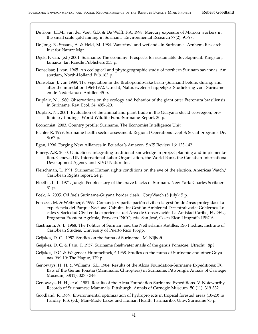- De Kom, J.F.M., van der Voet, G.B. & De Wolff, F.A. 1998. Mercury exposure of Maroon workers in the small scale gold mining in Surinam. Environmental Research 77(2): 91-97.
- De Jong, B., Spaans, A. & Held, M. 1984. Waterfowl and wetlands in Suriname. Arnhem, Research Inst for Nature Mgt.
- Dijck, P. van. (ed.) 2001. Suriname: The economy: Prospects for sustainable development. Kingston, Jamaica, Ian Randle Publishers 353 p.
- Donselaar, J. van, 1965. An ecological and phytogeographic study of northern Surinam savannas. Amsterdam, North-Holland Pub.163 p.
- Donselaar, J. van 1989. The vegetation in the Brokopondo-lake basin (Surinam) before, during, and after the inundation 1964-1972. Utrecht, Natuurwetenschappelijke Studiekring voor Suriname en de Nederlandse Antillen 45 p.
- Duplaix, N., 1980. Observations on the ecology and behavior of the giant otter Pteronura brasiliensis in Suriname. Rev. Ecol. 34: 495-620.
- Duplaix, N., 2001. Evaluation of the animal and plant trade in the Guayana shield eco-region, preliminary findings. World Wildlife Fund-Suriname Report, 30 p.

Economist, 2003. Country profile: Suriname. The Economist Intelligence Unit

- Eichler R. 1999. Suriname health sector assessment. Regional Operations Dept 3; Social programs Div 3: 67 p.
- Egan, 1996. Forging New Alliances in Ecuador's Amazon. SAIS Review 16: 123-142.
- Emery, A.R. 2000. Guidelines: integrating traditional knowledge in project planning and implementation. Geneva, UN International Labor Organisation, the World Bank, the Canadian International Development Agency and KIVU Nature Inc.
- Fleischman, L. 1991. Suriname: Human rights conditions on the eve of the election. Americas Watch/ Caribbean Rights report, 24 p.
- Floethe, L. L. 1971. Jungle People: story of the brave blacks of Surinam. New York: Charles Scribner 31 p.
- Foek, A. 2005. Oil fuels Suriname-Guyana border clash. CorpWatch (5 July): 5 p.
- Fonseca, M. & Weitzner,V. 1999. Comanejo y participación civil en la gestión de áreas protegidas: La experiencia del Parque Nacional Cahuita. in: Gestión Ambiental Decentralizada: Gobiernos Locales y Sociedad Civil en la experiencia del Área de Conservación La Amistad Caribe, FUDEU, Programa Frontera Agrícola, Proyecto INCO, eds. San José, Costa Rica: Litografía IPECA.
- Gastmann, A. L. 1968. The Politics of Surinam and the Netherlands Antilles. Rio Piedras, Institute of Caribbean Studies, University of Puerto Rico 185pp.
- Geijskes, D. C. 1957. Studies on the fauna of Suriname. M. Nijhoff
- Geijskes, D. C. & Pain, T. 1957. Suriname freshwater snails of the genus Pomacae. Utrecht, 8p?
- Geijskes, D.C. & Wagenaar Hummelinck,P. 1968. Studies on the fauna of Suriname and other Guyanas. Vol.10: The Hague, 179 p.
- Genoways, H. H. & Williams, S.L. 1984. Results of the Alcoa Foundation-Suriname Expeditions: IX. Bats of the Genus Tonatia (Mammalia: Chiroptera) in Suriname. Pittsburgh: Annals of Carnegie Museum, 53(11): 327 - 346.
- Genoways, H. H., et al. 1981. Results of the Alcoa Foundation-Suriname Expeditions. V. Noteworthy Records of Surinamese Mammals. Pittsburgh: Annals of Carnegie Museum. 50 (11): 319-332.
- Goodland, R. 1979. Environmental optimization of hydroprojects in tropical forested areas (10-20) in Panday, R.S. (ed.) Man-Made Lakes and Human Health. Parimaribo, Univ. Suriname 73 p.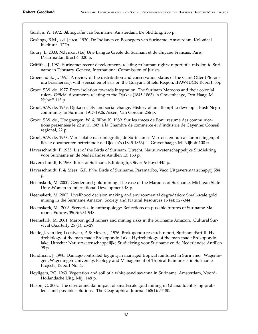Gordijn, W. 1972. Bibliografie van Suriname. Amsterdam, De Stichting, 255 p.

- Goslings, B.M., s.d. [circa] 1930. De Indianen en Bosnegers van Suriname. Amsterdam, Koloniaal Instituut,. 127p.
- Goury, L. 2003. Ndyuka : (Le) Une Langue Creole du Surinam et de Guyane Francais. Paris: L'Harmattan Broché 320 p.
- Griffiths, J. 1981. Suriname: recent developments relating to human rights: report of a mission to Suriname in February. Geneva, International Commission of Jurists
- Groenendijk, J., 1995. A review of the distribution and conservation status of the Giant Otter (Pteronura brasiliensis), with special emphasis on the Guayana Shield Region. IFAW-IUCN Report. 55p
- Groot, S.W. de. 1977. From isolation towards integration. The Surinam Maroons and their colonial rulers. Official documents relating to the Djukas (1845-1863). 's Gravenhaage, Den Haag, M. Nijhoff 113 p.

Groot, S.W. de. 1969. Djuka society and social change. History of an attempt to develop a Bush Negro community in Surinam 1917-1926. Assen, Van Gorcum 256 p.

- Groot, S.W. de., Hoogbergen, W. & Bilby, K. 1989. Sur les traces de Boni: résumé des communications présentées le 22 avril 1989 à la Chambre de commerce et d'industrie de Cayenne: Conseil régional, 22 p.
- Groot, S.W. de, 1963. Van isolatie naar integratie; de Surinaamse Marrons en hun afstammelingen; officiele documenten betreffende de Djoeka's (1845-1863). 's-Gravenhaage, M. Nijhoff 100 p.
- Haverschmidt, F. 1955. List of the Birds of Surinam. Utrecht, Natuurwetenschappelijke Studiekring voor Suriname en de Nederlandse Antillen 13: 153 p.
- Haverschmidt, F. 1968. Birds of Surinam. Edinburgh, Oliver & Boyd 445 p.
- Haverschmidt, F. & Mees, G.F. 1994. Birds of Suriname. Paramaribo, Vaco Uitgeversmaatschappij 584 p.
- Heemskerk, M. 2000. Gender and gold mining: The case of the Maroons of Suriname. Michigan State Univ.,Women in International Development 48 p.
- Heemskerk, M. 2002. Livelihood decision making and environmental degradation: Small-scale gold mining in the Suriname Amazon. Society and Natural Resources 15 (4): 327-344.
- Heemskerk, M. 2003. Scenarios in anthropology: Reflections on possible futures of Suriname Maroons. Futures 35(9): 931-948.
- Heemskirk, M. 2001. Maroon gold miners and mining risks in the Suriname Amazon. Cultural Survival Quarterly 25 (1): 25-29.
- Heide, J. van der, Leentvaar, P. & Meyer, J. 1976. Brokopondo research report, SurinamePart II. Hydrobiology of the man-made Brokopondo Lake. Hydrobiology of the man-made Brokopondo lake. Utrecht : Natuurwetenschappelijke Studiekring voor Suriname en de Nederlandse Antillen 95 p.
- Hendrison, J. 1990. Damage-controlled logging in managed tropical rainforest in Suriname. Wageningen, Wageningen University, Ecology and Management of Tropical Rainforests in Suriname Projects, Report No. 4.
- Heyligers, P.C. 1963. Vegetation and soil of a white-sand savanna in Suriname. Amsterdam, Noord-Hollandsche Uitg. Mij., 148 p.
- Hilson, G. 2002. The environmental impact of small-scale gold mining in Ghana: Identifying problems and possible solutions. The Geographical Journal 168(1): 57-80.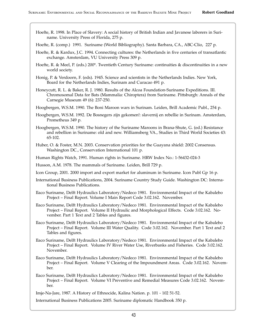Hoefte, R. 1998. In Place of Slavery: A social history of British Indian and Javanese laborers in Suriname. University Press of Florida, 275 p.

Hoefte, R. (comp.) 1991. Suriname (World Bibliography). Santa Barbara, CA., ABC-Clio, 227 p.

- Hoefte, R. & Kardux, J.C. 1994. Connecting cultures: the Netherlands in five centuries of transatlantic exchange. Amsterdam, VU University Press 309 p.
- Hoefte, R. & Meel, P. (eds.) 200\*. Twentieth Century Suriname: continuities & discontinuities in a new world society.
- Honig, P. & Verdoorn, F. (eds). 1945. Science and scientists in the Netherlands Indies. New York, Board for the Netherlands Indies, Surinam and Curacao 491 p.
- Honeycutt, R. L. & Baker, R. J. 1980. Results of the Alcoa Foundation-Suriname Expeditions. III. Chromosomal Data for Bats (Mammalia: Chiroptera) from Suriname. Pittsburgh: Annals of the Carnegie Museum 49 (6): 237-250.

Hoogbergen, W.S.M. 1990. The Boni Maroon wars in Surinam. Leiden, Brill Academic Publ., 254 p.

- Hoogbergen, W.S.M. 1992. De Bosnegers zijn gekomen!: slavernij en rebellie in Surinam. Amsterdam, Prometheus 349 p.
- Hoogbergen, W.S.M. 1990. The history of the Suriname Maroons in Brana-Shute, G. (ed.) Resistance and rebellion in Suriname: old and new. Williamsberg VA., Studies in Third World Societies 43: 65-102.
- Huber, O. & Foster, M.N. 2003. Conservation priorities for the Guayana shield: 2002 Consensus. Washington DC., Conservation International 101 p.

Human Rights Watch, 1991. Human rights in Suriname. HRW Index No.: 1-56432-024-3

- Husson, A.M. 1978. The mammals of Suriname. Leiden, Brill 729 p.
- Icon Group, 2001. 2000 import and export market for aluminum in Suriname. Icon Publ Gp 16 p.
- International Business Publications, 2004. Suriname Country Study Guide. Washington DC: International Business Publications.
- Ilaco Suriname, Delft Hydraulics Laboratory/Nedeco 1981. Environmental Impact of the Kabalebo Project – Final Report. Volume I Main Report Code 3.02.162. November.
- Ilaco Suriname, Delft Hydraulics Laboratory/Nedeco 1981. Environmental Impact of the Kabalebo Project – Final Report. Volume II Hydraulic and Morphological Effects. Code 3.02.162. November. Part 1 Text and 2 Tables and figures.
- Ilaco Suriname, Delft Hydraulics Laboratory/Nedeco 1981. Environmental Impact of the Kabalebo Project – Final Report. Volume III Water Quality. Code 3.02.162. November. Part 1 Text and 2 Tables and figures.
- Ilaco Suriname, Delft Hydraulics Laboratory/Nedeco 1981. Environmental Impact of the Kabalebo Project – Final Report. Volume IV River Water Use, Riverbanks and Fisheries. Code 3.02.162. November.
- Ilaco Suriname, Delft Hydraulics Laboratory/Nedeco 1981. Environmental Impact of the Kabalebo Project – Final Report. Volume V Clearing of the Impoundment Areas. Code 3.02.162. November.
- Ilaco Suriname, Delft Hydraulics Laboratory/Nedeco 1981. Environmental Impact of the Kabalebo Project – Final Report. Volume VI Preventive and Remedial Measures Code 3.02.162. November.

Imje-Na-Jare, 1987. A History of Ethnocide, Kalina Nation. p. 101 - 102 51-52.

International Business Publications 2005. Suriname diplomatic Handbook 350 p.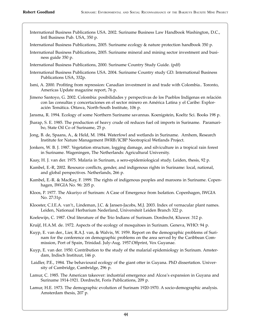- International Business Publications USA. 2002. Suriname Business Law Handbook Washington, D.C., Intl Business Pub. USA, 350 p.
- International Business Publications, 2005. Suriname ecology & nature protection handbook 350 p.
- International Business Publications, 2005. Suriname mineral and mining sector investment and business guide 350 p.
- International Business Publications, 2000. Suriname Country Study Guide. (pdf)
- International Business Publications USA. 2004. Suriname Country study GD. International Business Publications USA, 332p.
- Ismi, A. 2000. Profiting from repression: Canadian investment in and trade with Colombia.. Toronto, Americas Update magazine report, 76 p.
- Jimeno Santoyo, G. 2002. Colombia: posibilidades y perspectivas de los Pueblos Indígenas en relación con las consultas y concertaciones en el sector minero en América Latina y el Caribe: Exploración Temática. Ottawa, North-South Institute, 106 p.
- Jansma, R. 1994. Ecology of some Northern Suriname savannas. Koenigstein, Koeltz Sci. Books 198 p.
- Jharap, S. E. 1985. The production of heavy crude oil reduces fuel oil imports in Suriname. Paramaribo, State Oil Co of Suriname, 25 p.
- Jong, B. de, Spaans, A., & Held, M. 1984. Waterfowl and wetlands in Suriname. Arnhem, Research Institute for Nature Management IWRB/ICBP Neotropical Wetlands Project.
- Jonkers, W. B. J. 1987. Vegetation structure, logging damage, and silviculture in a tropical rain forest in Suriname. Wageningen, The Netherlands: Agricultural University.
- Kaay, H. J. van der. 1975. Malaria in Surinam, a sero-epidemiological study. Leiden, thesis, 92 p.
- Kambel, E.-R, 2002. Resource conflicts, gender, and indigenous rights in Suriname: local, national, and global perspectives. Netherlands, 266 p.
- Kambel, E.-R. & MacKay, F. 1999. The rights of indigenous peoples and maroons in Suriname. Copenhagen, IWGIA No. 96: 205 p.
- Kloos, P. 1977. The Akuriyo of Surinam: A Case of Emergence from Isolation. Copenhagen, IWGIA No. 27:31p.
- Klooster, C.I.E.A. van't., Lindeman, J.C. & Jansen-Jacobs, M.J. 2003. Index of vernacular plant names. Leiden, Nationaal Herbarium Nederland, Universiteit Leiden Branch 322 p.
- Koelewijn, C. 1987. Oral literature of the Trio Indians of Surinam. Dordrecht, Kluwer. 312 p.
- Kruijf, H.A.M. de. 1972. Aspects of the ecology of mosquitoes in Surinam. Geneva, WHO: 94 p.
- Kuyp, E. van der., Lier, R.A.J. van, & Walvis, W. 1959. Report on the demographic problems of Surinam for the conference on demographic problems on the area served by the Caribbean Commission, Port of Spain, Trinidad. July-Aug. 1957.Offprint, Vox Guyanae.
- Kuyp, E. van der. 1950. Contribution to the study of the malarial epidemiology in Surinam. Amsterdam, Indisch Instituut, 146 p.
- Laidler, P.E., 1984. The behavioural ecology of the giant otter in Guyana. PhD dissertation. University of Cambridge, Cambridge, 296 p.
- Lamur, C. 1985. The American takeover: industrial emergence and Alcoa's expansion in Guyana and Suriname 1914-1921. Dordrecht, Foris Publications, 209 p.
- Lamur, H.E. 1973. The demographic evolution of Surinam 1920-1970. A socio-demographic analysis. Amsterdam thesis, 207 p.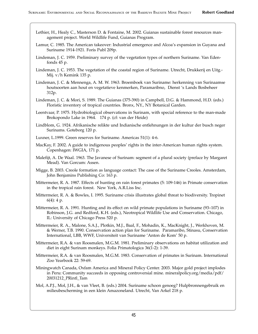- Lethier, H., Healy C., Masterson D. & Fontaine, M. 2002. Guianas sustainable forest resources management project. World Wildlife Fund, Guianas Program.
- Lamur, C. 1985. The American takeover: Industrial emergence and Alcoa's expansion in Guyana and Suriname 1914-1921. Foris Publ 209p.
- Lindeman, J. C. 1959. Preliminary survey of the vegetation types of northern Suriname. Van Edenfonds 45 p.
- Lindeman, J. C. 1953. The vegetation of the coastal region of Suriname. Utrecht, Drukkerij en Uitg.- Mij. v/h Kemink 135 p.
- Lindeman, J. C. & Mennenga, A. M. W. 1963. Broemboek van Suriname: herkenning van Surinaamse houtsoorten aan hout en vegetatieve kenmerken, Paramaribno, Dienst 's Lands Bosbeheer 312p.
- Lindeman, J. C. & Mori, S. 1989. The Guianas (375-390) in Campbell, D.G. & Hammond, H.D. (eds.) Floristic inventory of tropical countries. Bronx, NY., NY Botanical Garden.
- Leentvaar, P. 1975. Hydrobiological observations in Surinam, with special reference to the man-made Brokopondo Lake in 1964. 174 p. (cf: van der Heide)
- Lindblom, G. 1924. Afrikanische relikte und Indianische entlehnungen in der kultur der busch neger Surinams. Goteborg 120 p.
- Luxner, L.1999. Green reserves for Suriname. Americas 51(1): 4-6.
- MacKay, F. 2002. A guide to indigenous peoples' rights in the inter-American human rights system. Copenhagen: IWGIA, 171 p.
- Malefijt, A. De Waal. 1963. The Javanese of Surinam: segment of a plural society (preface by Margaret Mead). Van Gorcum: Assen.
- Migge, B. 2003. Creole formation as language contact: The case of the Suriname Creoles. Amsterdam, John Benjamins Publishing Co: 163 p.
- Mittermeier, R. A. 1987. Effects of hunting on rain forest primates (5: 109-146) in Primate conservation in the tropical rain forest. New York, A.R.Liss Inc.
- Mittermeier, R. A. & Bowles, I. 1995. Suriname crisis illustrates global threat to biodiversity. Tropinet 6(4): 4 p.
- Mittermeier, R. A. 1991. Hunting and its effect on wild primate populations in Suriname (93–107) in Robinson, J.G. and Redford, K.H. (eds.), Neotropical Wildlife Use and Conservation. Chicago, IL: University of Chicago Press 520 p.
- Mittermeier, R. A., Malone, S.A.J., Plotkin, M.J., Baal, F., Mohadin, K., MacKnight, J., Werkhoven, M. & Werner, T.B. 1990. Conservation action plan for Suriname. Paramaribo, Stinasu, Conservation International, LBB, WWF, Universiteit van Suriname 'Anton de Kom' 50 p.
- Mittermeier, R.A. & van Roosmalen, M.G.M. 1981. Preliminary observations on habitat utilization and diet in eight Surinam monkeys. Folia Primatologica 36(1-2): 1-39.
- Mittermeier, R.A. & van Roosmalen, M.G.M. 1983. Conservation of primates in Surinam. International Zoo Yearbook 22: 59-69.
- Miningwatch Canada, Oxfam America and Mineral Policy Center. 2003. Major gold project implodes in Peru: Community succeeds in opposing controversial mine. mineralpolicy.org/media/pdf/ 20031212\_PRintl\_Tam
- Mol, A.P.J., Mol, J.H., & van Vleet, B. (eds.) 2004. Suriname schoon genoeg? Hulpbronnengebruik en milieubescherming in een klein Amazoneland. Utrecht, Van Arkel 218 p.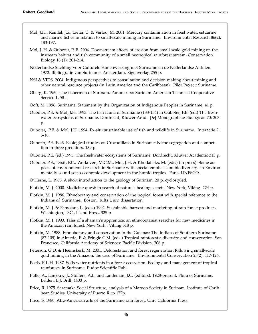- Mol, J.H., Ramlal, J.S., Lietar, C. & Verloo, M. 2001. Mercury contamination in freshwater, estuarine and marine fishes in relation to small-scale mining in Suriname. Environmental Research 86(2): 183-197.
- Mol, J. H. & Ouboter, P. E. 2004. Downstream effects of erosion from small-scale gold mining on the instream habitat and fish community of a small neotropical rainforest stream. Conservation Biology 18 (1): 201-214.
- Nederlandse Stichting voor Culturele Samenwerking met Suriname en de Nederlandse Antillen. 1972. Bibliografie van Suriname. Amsterdam, Eigenverlag 255 p.
- NSI & VIDS, 2004. Indigenous perspectives to consultation and decision-making about mining and other natural resource projects (in Latin America and the Caribbean). Pilot Project: Suriname.
- Oberg, K. 1960. The fishermen of Surinam. Paramaribo: Surinam-American Technical Cooperative Service 1, 58 l
- Ooft, M. 1996. Suriname: Statement by the Organization of Indigenous Peoples in Suriname, 41 p.
- Ouboter, P.E. & Mol, J.H. 1993. The fish fauna of Suriname (133-154) in Ouboter, P.E. (ed.) The freshwater ecosystems of Suriname. Dordrecht, Kluwer Acad. [&] Monographiae Biologicae 70: 303 p.
- Ouboter, .P.E. & Mol, J.H. 1994. Ex-situ sustainable use of fish and wildlife in Suriname. Interactie 2: 5-18.
- Ouboter, P.E. 1996. Ecological studies on Crocodilians in Suriname: Niche segregation and competition in three predators. 139 p.
- Ouboter, P.E. (ed.) 1993. The freshwater ecosystems of Suriname. Dordrecht, Kluwer Academic 313 p.
- Ouboter, P.E., Dixit, P.C., Werkoven, M.C.M., Mol, J.H. & Khodabaks, M. (eds.) (in press). Some aspects of environmental research in Suriname with special emphasis on biodiversity. in Environmentally sound socio-economic development in the humid tropics. Paris, UNESCO.
- O'Herne, L. 1966. A short introduction to the geology of Surinam. 20 p. cyclostyled.
- Plotkin, M. J. 2000. Medicine quest: in search of nature's healing secrets. New York, Viking 224 p.
- Plotkin, M. J. 1986. Ethnobotany and conservation of the tropical forest with special reference to the Indians of Suriname. Boston, Tufts Univ. dissertation.
- Plotkin, M. J. & Famolare, L. (eds.) 1992. Sustainable harvest and marketing of rain forest products. Washington, D.C., Island Press, 325 p
- Plotkin, M. J. 1993. Tales of a shaman's apprentice: an ethnobotanist searches for new medicines in the Amazon rain forest. New York : Viking 318 p.
- Plotkin, M. 1988. Ethnobotany and conservation in the Guianas: The Indians of Southern Suriname (87-109) in Almeda, F. & Pringle C.M. (eds.) Tropical rainforests: diversity and conservation. San Francisco, California Academy of Sciences: Pacific Division, 306 p.
- Peterson, G.D. & Heemskerk, M. 2001. Deforestation and forest regeneration following small-scale gold mining in the Amazon: the case of Suriname. Environmental Conservation 28(2): 117-126.
- Poels, R.L.H. 1987. Soils water nutrients in a forest ecosystem: Ecology and management of tropical rainforests in Suriname. Pudoc Scientific Publ.
- Pulle, A., Lanjouw, J., Stoffers, A.L. and Lindeman, J.C. (editors). 1928-present. Flora of Suriname. Leiden, E.J. Brill, 4400 p.
- Price, R. 1975. Saramaka Social Structure, analysis of a Maroon Society in Surinam. Institute of Caribbean Studies, University of Puerto Rico 177p.
- Price, S. 1980. Afro-American arts of the Suriname rain forest. Univ California Press.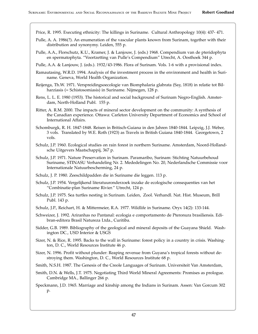Price, R. 1995. Executing ethnicity: The killings in Suriname. Cultural Anthropology 10(4): 437- 471.

- Pulle, A. A. 1986(?). An enumeration of the vascular plants known from Surinam, together with their distribution and synonymy. Leiden, 555 p.
- Pulle, A.A., Florschutz, K.U., Kramer, J. & Lanjouw, J. (eds.) 1968. Compendium van de pteridophyta en spermatophyta. "Voortzetting van Pulle's Compendium" Utrecht, A. Oosthoek 344 p.
- Pulle, A.A. & Lanjouw, J. (eds.). 1932/43-1986. Flora of Surinam. Vols. 1-6 with a provisional index.
- Ramautasing, W.R.D. 1994. Analysis of the investment process in the environment and health in Suriname. Geneva, World Health Organization.
- Reijenga, Th.W. 1971. Verspreidingsoecologie van Biomphalaria glabrata (Say, 1818) in relatie tot Bilharziasis (= Schistosomiasis) in Suriname. Nijmegen, 128 p.
- Rens, L. L. E. 1980 (1953). The historical and social background of Surinam Negro-English. Amsterdam, North-Holland Publ. 155 p.
- Ritter, A. R.M. 2000. The impacts of mineral sector development on the community: A synthesis of the Canadian experience. Ottawa: Carleton University Department of Economics and School of International Affairs.
- Schomburgk, R. H. 1847-1848. Reisen in Britisch-Guiana in den Jahren 1840-1844. Leipzig, J.J. Weber, 3 vols. Translated by W.E. Roth (1923) as Travels in British Guiana 1840-1844. Georgetown, 2 vols.
- Schulz, J.P. 1960. Ecological studies on rain forest in northern Suriname. Amsterdam, Noord-Hollandsche Uitgevers Maatschappij, 367 p.
- Schulz, J.P. 1971. Nature Preservation in Surinam. Paramaribo, Surinam: Stichting Natuurbehoud Suriname, STINASU Verhandeling Nr. 2. Mededelingen No. 20, Nederlandsche Commissie voor Internationale Natuurbescherming, 24 p.
- Schulz, J. P. 1980. Zeeschildpadden die in Suriname die leggen. 113 p.
- Schulz, J.P. 1954. Vergelijkend literatuuronderzoek inzake de ecologische consequenties van het "Combinatie-plan Suriname Rivier." Utrecht, 124 p.
- Schulz, J.P. 1975. Sea turtles nesting in Surinam. Leiden, Zool. Verhandl. Nat. Hist. Museum, Brill Publ. 143 p.
- Schulz, J.P., Reichart, H. & Mittermeier, R.A. 1977. Wildlife in Suriname. Oryx 14(2): 133-144.
- Schweizer, J. 1992. Ariranhas no Pantanal: ecologia e comportamento de Pteronura brasiliensis. Edibran-editora Brasil Natureza Ltda., Curitiba.
- Sidder, G.B. 1989. Bibliography of the geological and mineral deposits of the Guayana Shield. Washington DC., USD Interior & USGS
- Sizer, N. & Rice, R. 1995. Backs to the wall in Suriname: forest policy in a country in crisis. Washington, D. C., World Resources Institute 46 p.
- Sizer, N. 1996. Profit without plunder: Reaping revenue from Guyana's tropical forests without destroying them. Washington, D. C., World Resources Institute 68 p.
- Smith, N.S.H. 1987. The Genesis of the Creole Languages of Surinam. Universiteit Van Amsterdam,
- Smith, D.N. & Wells, J.T. 1975. Negotiating Third World Mineral Agreements: Promises as prologue. Cambridge MA., Ballinger 266 p.
- Speckmann, J.D. 1965. Marriage and kinship among the Indians in Surinam. Assen: Van Gorcum 302 p.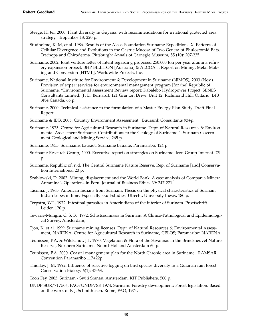Steege, H. ter. 2000. Plant diversity in Guyana, with recommendations for a national protected area strategy. Tropenbos 18: 220 p.

Studholme, K. M, et al. 1986. Results of the Alcoa Foundation Suriname Expeditions. X. Patterns of Cellular Divergence and Evolutions in the Gastric Mucosa of Two Genera of Phulostomid Bats, Trachops and Chiroderma. Pittsburgh: Annals of Carnegie Museum, 55 (10): 207-235.

- Suriname, 2002. Joint venture letter of intent regarding proposed 250,000 ton per year alumina refinery expansion project, BHP BILLITON [Australia] & ALCOA ... Report on Mining, Metal Making and Conversion [HTML], Worldwide Projects, Inc.
- Suriname, National Institute for Environment & Development in Suriname (NIMOS), 2003 (Nov.). Provision of expert services for environmental management program [for the] Republic of Suriname. "Environmental assessment Review report: Kabalebo Hydropower Project. SENES Consultants Limited, (F. D. Bernard), 121 Granton Drive, Unit 12, Richmond Hill, Ontario, L4B 3N4 Canada, 65 p.
- Suriname, 2000. Technical assistance to the formulation of a Master Energy Plan Study. Draft Final Report.
- Suriname & IDB, 2005. Country Environment Assessment. Buursink Consultants 93+p.
- Suriname, 1975. Centre for Agricultural Research in Suriname. Dept. of Natural Resources & Environmental Assessment.Suriname. Contributions to the Geology of Suriname 4. Surinam Government Geological and Mining Service, 265 p.
- Suriname. 1955. Surinaams bauxiet. Suriname bauxite. Paramaribo, 124 p.
- Suriname Research Group, 2000. Executive report on strategies on Suriname. Icon Group Internat. 75 p.
- Suriname, Republic of, n.d. The Central Suriname Nature Reserve. Rep. of Suriname [and] Conservation International 20 p.
- Szablowski, D. 2002. Mining, displacement and the World Bank: A case analysis of Compania Minera Antamina's Operations in Peru. Journal of Business Ethics 39: 247-271.
- Tacoma, J. 1963. American Indians from Surinam. Thesis on the physical characteristics of Surinam Indian tribes in time. Especially skull-studies. Utrecht, University thesis, 180 p.
- Terpstra, W.J., 1972. Intestinal parasites in Amerindians of the interior of Surinam. Proefschrift. Leiden 120 p.
- Tewarie-Mungra, C. S. B. 1972. Schistosomiasis in Surinam: A Clinico-Pathological and Epidemiological Survey. Amsterdam,
- Tjon, K. et al. 1999. Suriname mining licenses. Dept. of Natural Resources & Environmental Assessment, NARENA, Centre for Agricultural Research in Suriname, CELOS; Paramaribo: NARENA.
- Teunissen, P.A. & Wildschut, J.T. 1970. Vegetation & Flora of the Savannas in the Brinckheuvel Nature Reserve, Northern Suriname. Noord-Holland Amsterdam 60 p.
- Teunissen, P.A. 2000. Coastal management plan for the North Caronie area in Suriname. RAMSAR Convention Paramaribo 117+22p.
- Thiollay, J. M, 1992. Influence of selective logging on bird species diversity in a Guianan rain forest. Conservation Biology 6(1): 47-63.
- Toon Fey, 2003. Surinam Switi Sranan. Amsterdam, KIT Publishers, 500 p.
- UNDP SUR/71/506, FAO/UNDP/SF. 1974. Surinam: Forestry development: Forest legislation. Based on the work of F. J. Schmithusen. Rome, FAO, 1974.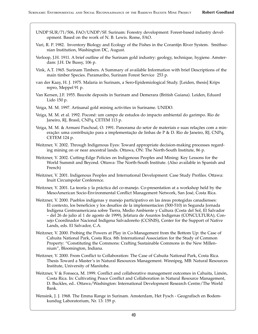- UNDP SUR/71/506, FAO/UNDP/SF. Surinam: Forestry development: Forest-based industry development. Based on the work of N. B. Lewis. Rome, FAO.
- Vari, R. P. 1982. Inventory Biology and Ecology of the Fishes in the Corantijn River System. Smithsonian Institution, Washington DC, August.
- Verloop, J.H. 1911. A brief outline of the Surinam gold industry: geology, technique, hygiene. Amsterdam: J.H. De Bussy, 106 p.
- Vink, A.T. 1965. Surinam Timbers. A Summary of available Information with brief Descriptions of the main timber Species. Paramaribo, Surinam Forest Service 253 p.
- van der Kaay, H. J. 1975. Malaria in Surinam, a Sero-Epidemiological Study. [Leiden, thesis] Krips repro, Meppel 91 p.
- Van Kersen, J.F. 1955. Bauxite deposits in Surinam and Demerara (British Guiana). Leiden, Eduard Lido 150 p.
- Veiga, M. M. 1997. Artisanal gold mining activities in Suriname. UNIDO.
- Veiga, M. M. et al. 1992. Poconé: um campo de estudos do impacto ambiental do garimpo. Rio de Janeiro, RJ, Brasil, CNPq, CETEM 113 p.
- Veiga, M. M. & Armani Paschoal, O. 1991. Panorama do setor de materiais e suas relações com a mineração: uma contribuição para a implementação de linhas de P & D. Rio de Janeiro, RJ, CNPq, CETEM 124 p.
- Weitzner, V. 2002. Through Indigenous Eyes: Toward appropriate decision-making processes regarding mining on or near ancestral lands. Ottawa, ON: The North-South Institute, 86 p.
- Weitzner, V. 2002. Cutting-Edge Policies on Indigenous Peoples and Mining: Key Lessons for the World Summit and Beyond. Ottawa: The North-South Institute. (Also available in Spanish and French)
- Weitzner, V. 2001. Indigenous Peoples and International Development: Case Study Profiles. Ottawa: Inuit Circumpolar Conference.
- Weitzner, V. 2001. La teoría y la práctica del co-manejo. Co-presentation at a workshop held by the MesoAmerican Socio-Environmental Conflict Management Network, San José, Costa Rica.
- Weitzner, V. 2000. Pueblos indígenas y manejo participativo en las áreas protegidas canadienses: El contexto, los beneficios y los desafíos de la implementacíon (500-510) in Segunda Jornada Indígena Centroamericana sobre Tierra, Medio Ambiente y Cultura (Costa del Sol, El Salvador – del 26 de julio al 1 de agosto de 1999), Jefatura de Asuntos Indígenas (CONCULTURA), Consejo Coordinador Nacional Indígena Salvadoreño (CCSNIS), Center for the Support of Native Lands, eds. El Salvador, C.A.
- Weitzner, V. 2000. Probing the Powers at Play in Co-Management from the Bottom Up: the Case of Cahuita National Park, Costa Rica. 8th International Association for the Study of Common Property: "Constituting the Commons: Crafting Sustainable Commons in the New Millennium", Bloomington, Indiana.
- Weitzner, V. 2000. From Conflict to Collaboration: The Case of Cahuita National Park, Costa Rica. Thesis Toward a Master's in Natural Resources Management. Winnipeg, MB: Natural Resources Institute, University of Manitoba.
- Weitzner, V & Fonseca, M. 1999. Conflict and collaborative management outcomes in Cahuita, Limón, Costa Rica. In: Cultivating Peace Conflict and Collaboration in Natural Resource Management, D. Buckles, ed.. Ottawa/Washington: International Development Research Centre/The World Bank.
- Wensink, J. J. 1968. The Emma Range in Surinam. Amsterdam, Het Fysch Geografisch en Bodemkundug Laboratorium, Nr. 13: 159 p.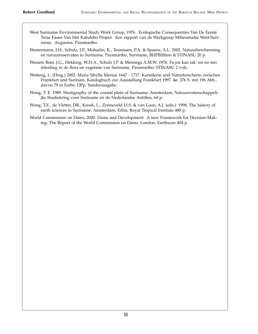- West Suriname Environmental Study Work Group, 1976. Ecologische Consequenties Van De Eerste Twee Fasen Van Het Kabalebo Project. Een rapport van de Werkgroep Milieustudie West-Suriname. Augustus. Paramaribo.
- Westermann, J.H., Schulz, J.P., Mohadin, K., Teunissen, P.A. & Spaans, A.L. 2002. Natuurbescherming en natuurreservaten in Suriname. Paramaribo, Suriname, BHPBilliton & STINASU 20 p.
- Wessels Boer, J.G., Hekking, W.H.A., Schulz J.P. & Mennega A.M.W. 1976. Fa joe kan tak' mi no mo: inleiding in de flora en vegetatie van Suriname. Paramaribo: STINASU 2 vols.
- Wetteng, L. (Hrsg.) 2002. Maria Sibylla Merian 1647 1717. Kunstlerin und Naturforscherin zwischen Frankfurt und Surinam. Katalogbuch zur Ausstellung Frankfurt 1997. 4ø. 276 S. mit 196 Abb., davon 79 in Farbe. OPp. Sonderausgabe.
- Wong, T. E. 1989. Stratigraphy of the coastal plain of Suriname. Amsterdam, Natuurwetenschappelijke Studiekring voor Suriname en de Nederlandse Antillen, 64 p.
- Wong, T.E., de Vletter, DR., Krook, L., Zonneveld J.I.S. & van Loon, A.J. (eds.). 1998. The history of earth sciences in Suriname. Amsterdam, Edita, Royal Tropical Institute 488 p.
- World Commission on Dams, 2000. Dams and Development: A new Framework for Decision-Making: The Report of the World Commission on Dams. London, Earthscan 404 p.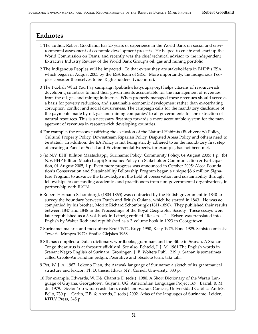### **Endnotes**

- 1 The author, Robert Goodland, has 25 years of experience in the World Bank on social and environmental assessment of economic development projects. He helped to create and start-up the World Commission on Dams, and recently was the chief technical advisor to the independent Extractive Industry Review of the World Bank Group's oil, gas and mining portfolio.
- 2 The Indigenous Peoples will be impacted. To that extent they are stakeholders in BHPB's ESA, which began in August 2005 by the ESA team of SRK. More importantly, the Indigenous Peoples consider themselves to be 'Rightsholders' (vide infra).
- 3 The Publish What You Pay campaign (publishwhatyoupay.org) helps citizens of resource-rich developing countries to hold their governments accountable for the management of revenues from the oil, gas and mining industries. When properly managed these revenues should serve as a basis for poverty reduction, and sustainable economic development rather than exacerbating corruption, conflict and social divisiveness. The campaign calls for the mandatory disclosure of the payments made by oil, gas and mining companies' to all governments for the extraction of natural resources. This is a necessary first step towards a more accountable system for the management of revenues in resource-rich developing countries.
- 4 For example, the reasons justifying the exclusion of the Natural Habitats (Biodiversity) Policy, Cultural Property Policy, Downstream Riparian Policy, Disputed Areas Policy and others need to be stated. In addition, the EA Policy is not being strictly adhered to as the mandatory first step of creating a Panel of Social and Environmental Experts, for example, has not been met.
- 5 (a) N.V. BHP Billiton Maatschappij Suriname: Policy: Community Policy, 04 August 2005: 1 p. (b) N.V. BHP Billiton Maatschappij Suriname: Policy on Stakeholder Communication & Participation, 01.August 2005; 1 p. Even more progress was announced in October 2005: Alcoa Foundation's Conservation and Sustainability Fellowship Program began a unique \$8.6 million Signature Program to advance the knowledge in the field of conservation and sustainability through fellowships to outstanding academics and practitioners from non-governmental organizations, in partnership with IUCN.
- 6 Robert Hermann Schomburgk (1804-1865) was contracted by the British government in 1840 to survey the boundary between Dutch and British Guiana, which he started in 1843. He was accompanied by his brother, Moritz Richard Schomburgk (1811-1890). They published their results between 1847 and 1848 in the Proceedings of the Royal Geographic Society. These essays were later republished as a 3-vol. book in Leipzig entitled "Reisen….". Reisen was translated into English by Walter Roth and republished as a 2-volume book in 1923 in Georgetown.
- 7 Suriname: malaria and mosquitos: Kruif 1972, Kuyp 1950, Kaay 1975, Bone 1925. Schistosomiasis: Tewarie-Mungra 1972; Snails: Giejskes 1968.
- 8 SIL has compiled a Dutch dictionary, wordbooks, grammars and the Bible in Sranan. A Sranan Tongo thesaurus is at thesaurus@kitlv.nl. See also: Echteld, J. J. M. 1961.The English words in Sranan; Negro English of Surinam. Groningen, J. B. Wolters Publ., 219 p. Sranan is sometimes called Creole-Amerindian pidgin. Pejorative and obsolete term: taki taki.
- 9 Pet, W. J. A. 1987. Lokono Dian, the Arawak language of Suriname: a sketch of its grammatical structure and lexicon. Ph.D. thesis. Ithaca NY., Cornell University. 383 p.
- 10 For example, Edwards, W. F.& Charette E. (eds.) 1980. A Short Dictionary of the Warau Language of Guyana. Georgetown, Guyana, UG, Amerindian Languages Project 167. Barral, B. M. de. 1979. Diccionário warao-castellano, castellano-warao. Caracas, Universidad Católica Andrés Bello, 730 p. Carlin, E.B. & Arends, J. (eds.) 2002. Atlas of the languages of Suriname. Leiden, KITLV Press, 345 p.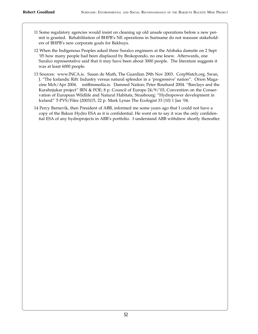- 11 Some regulatory agencies would insist on cleaning up old unsafe operations before a new permit is granted. Rehabilitation of BHPB's NE operations in Suriname do not reassure stakeholders of BHPB's new corporate goals for Bakhuys.
- 12 When the Indigenous Peoples asked three Suralco engineers at the Afobaka damsite on 2 Sept '05 how many people had been displaced by Brokopondo, no one knew. Afterwards, one Suralco representative said that it may have been about 3000 people. The literature suggests it was at least 6000 people.
- 13 Sources: www.INCA.is. Susan de Muth, The Guardian 29th Nov 2003. CorpWatch.org. Swan, J. "The Icelandic Rift: Industry versus natural splendor in a 'progressive' nation". Orion Magazine Mch/Apr 2004. nsi@mmedia.is. Damned Nation; Peter Bosshard 2004. "Barclays and the Karahnjukar project" IRN & FOE; 8 p. Council of Europe 24/9/'03, Convention on the Conservation of European Wildlife and Natural Habitats, Strasbourg: "Hydropower development in Iceland" T-PVS/Files (2003)15, 22 p. Mark Lynas The Ecologist 33 (10) 1 Jan '04.
- 14 Percy Barnevik, then President of ABB, informed me some years ago that I could not have a copy of the Bakun Hydro ESA as it is confidential. He went on to say it was the only confidential ESA of any hydroprojects in ABB's portfolio. I understand ABB withdrew shortly thereafter.